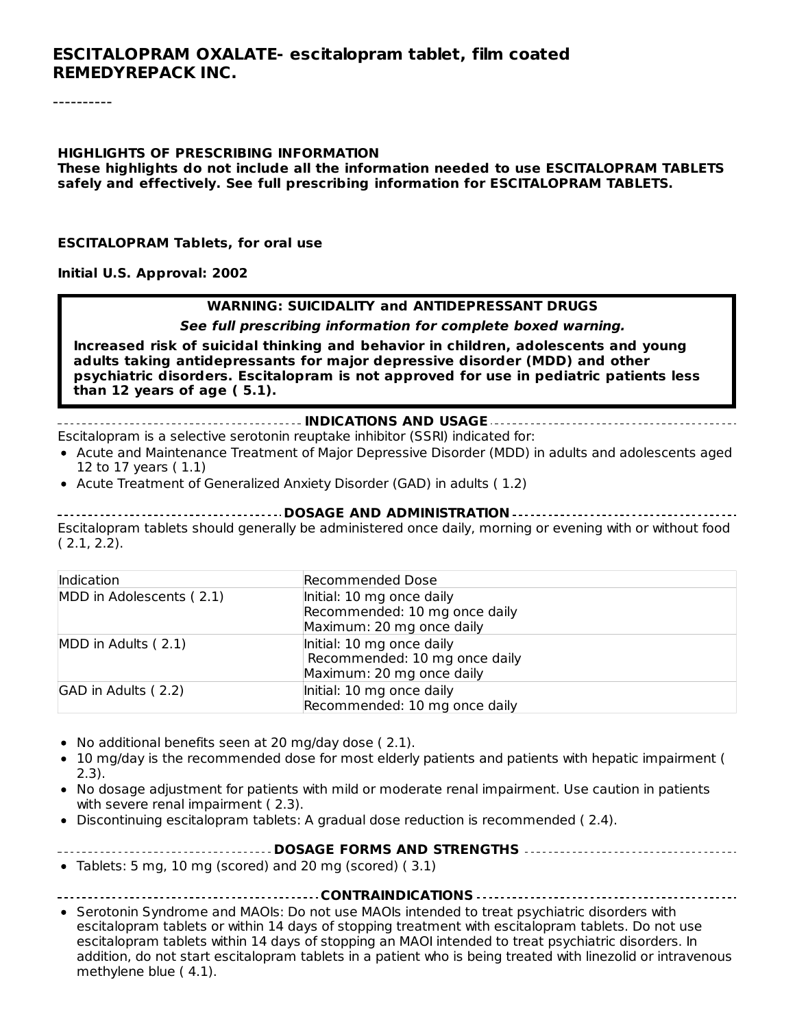#### **ESCITALOPRAM OXALATE- escitalopram tablet, film coated REMEDYREPACK INC.**

#### **HIGHLIGHTS OF PRESCRIBING INFORMATION**

**These highlights do not include all the information needed to use ESCITALOPRAM TABLETS safely and effectively. See full prescribing information for ESCITALOPRAM TABLETS.**

#### **ESCITALOPRAM Tablets, for oral use**

**Initial U.S. Approval: 2002**

#### **WARNING: SUICIDALITY and ANTIDEPRESSANT DRUGS**

**See full prescribing information for complete boxed warning.**

**Increased risk of suicidal thinking and behavior in children, adolescents and young adults taking antidepressants for major depressive disorder (MDD) and other psychiatric disorders. Escitalopram is not approved for use in pediatric patients less than 12 years of age ( 5.1).**

#### **INDICATIONS AND USAGE**

Escitalopram is a selective serotonin reuptake inhibitor (SSRI) indicated for:

- Acute and Maintenance Treatment of Major Depressive Disorder (MDD) in adults and adolescents aged 12 to 17 years ( 1.1)
- Acute Treatment of Generalized Anxiety Disorder (GAD) in adults (1.2)

**DOSAGE AND ADMINISTRATION** Escitalopram tablets should generally be administered once daily, morning or evening with or without food  $(2.1, 2.2).$ 

| Indication               | Recommended Dose              |  |
|--------------------------|-------------------------------|--|
| MDD in Adolescents (2.1) | Initial: 10 mg once daily     |  |
|                          | Recommended: 10 mg once daily |  |
|                          | Maximum: 20 mg once daily     |  |
| MDD in Adults (2.1)      | Initial: 10 mg once daily     |  |
|                          | Recommended: 10 mg once daily |  |
|                          | Maximum: 20 mg once daily     |  |
| GAD in Adults (2.2)      | Initial: 10 mg once daily     |  |
|                          | Recommended: 10 mg once daily |  |

- No additional benefits seen at 20 mg/day dose ( 2.1).
- 10 mg/day is the recommended dose for most elderly patients and patients with hepatic impairment ( 2.3).
- No dosage adjustment for patients with mild or moderate renal impairment. Use caution in patients with severe renal impairment (2.3).
- Discontinuing escitalopram tablets: A gradual dose reduction is recommended ( 2.4).

# **DOSAGE FORMS AND STRENGTHS**

Tablets: 5 mg, 10 mg (scored) and 20 mg (scored) ( 3.1)

**CONTRAINDICATIONS**

• Serotonin Syndrome and MAOIs: Do not use MAOIs intended to treat psychiatric disorders with escitalopram tablets or within 14 days of stopping treatment with escitalopram tablets. Do not use escitalopram tablets within 14 days of stopping an MAOI intended to treat psychiatric disorders. In addition, do not start escitalopram tablets in a patient who is being treated with linezolid or intravenous methylene blue ( 4.1).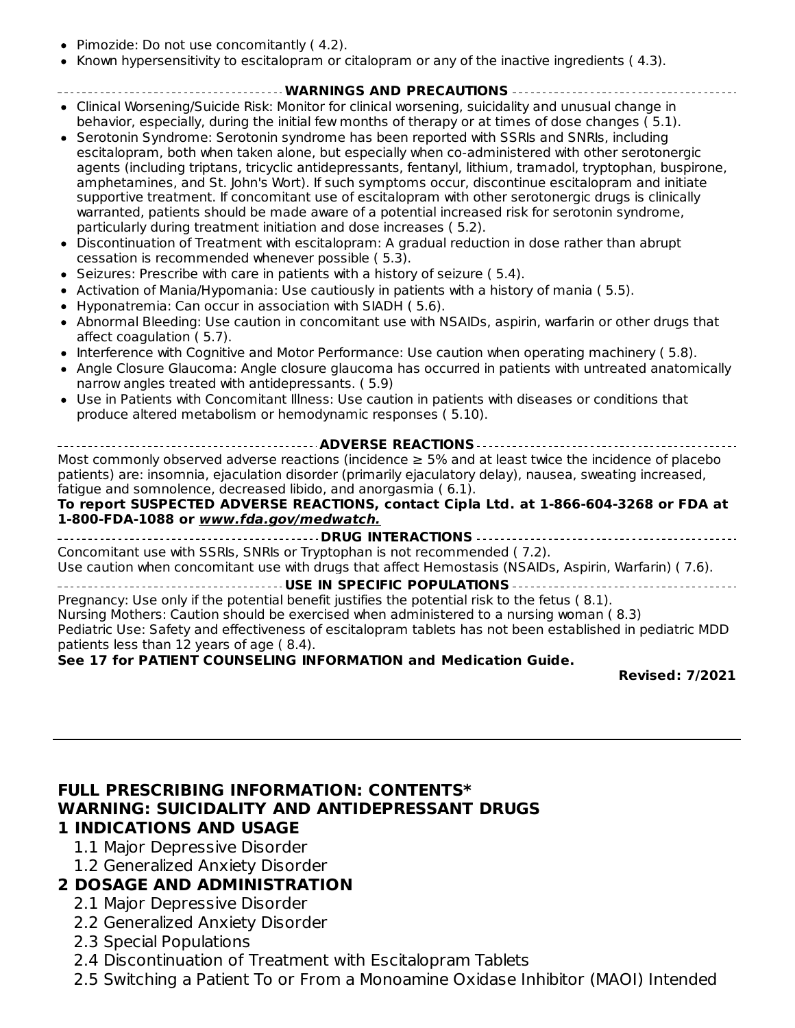- Pimozide: Do not use concomitantly ( 4.2).  $\bullet$
- Known hypersensitivity to escitalopram or citalopram or any of the inactive ingredients ( 4.3).

#### **WARNINGS AND PRECAUTIONS** Clinical Worsening/Suicide Risk: Monitor for clinical worsening, suicidality and unusual change in behavior, especially, during the initial few months of therapy or at times of dose changes ( 5.1). Serotonin Syndrome: Serotonin syndrome has been reported with SSRIs and SNRIs, including escitalopram, both when taken alone, but especially when co-administered with other serotonergic agents (including triptans, tricyclic antidepressants, fentanyl, lithium, tramadol, tryptophan, buspirone, amphetamines, and St. John's Wort). If such symptoms occur, discontinue escitalopram and initiate supportive treatment. If concomitant use of escitalopram with other serotonergic drugs is clinically warranted, patients should be made aware of a potential increased risk for serotonin syndrome, particularly during treatment initiation and dose increases ( 5.2). Discontinuation of Treatment with escitalopram: A gradual reduction in dose rather than abrupt  $\bullet$ cessation is recommended whenever possible ( 5.3). Seizures: Prescribe with care in patients with a history of seizure ( 5.4). • Activation of Mania/Hypomania: Use cautiously in patients with a history of mania (5.5). Hyponatremia: Can occur in association with SIADH ( 5.6). Abnormal Bleeding: Use caution in concomitant use with NSAIDs, aspirin, warfarin or other drugs that

- affect coagulation ( 5.7). • Interference with Cognitive and Motor Performance: Use caution when operating machinery (5.8).
- Angle Closure Glaucoma: Angle closure glaucoma has occurred in patients with untreated anatomically
- narrow angles treated with antidepressants. ( 5.9) Use in Patients with Concomitant Illness: Use caution in patients with diseases or conditions that produce altered metabolism or hemodynamic responses ( 5.10).

**ADVERSE REACTIONS** Most commonly observed adverse reactions (incidence ≥ 5% and at least twice the incidence of placebo patients) are: insomnia, ejaculation disorder (primarily ejaculatory delay), nausea, sweating increased, fatigue and somnolence, decreased libido, and anorgasmia ( 6.1).

#### **To report SUSPECTED ADVERSE REACTIONS, contact Cipla Ltd. at 1-866-604-3268 or FDA at 1-800-FDA-1088 or www.fda.gov/medwatch.**

**DRUG INTERACTIONS** Concomitant use with SSRIs, SNRIs or Tryptophan is not recommended ( 7.2).

Use caution when concomitant use with drugs that affect Hemostasis (NSAIDs, Aspirin, Warfarin) ( 7.6).

**USE IN SPECIFIC POPULATIONS** Pregnancy: Use only if the potential benefit justifies the potential risk to the fetus ( 8.1). Nursing Mothers: Caution should be exercised when administered to a nursing woman ( 8.3) Pediatric Use: Safety and effectiveness of escitalopram tablets has not been established in pediatric MDD patients less than 12 years of age ( 8.4).

#### **See 17 for PATIENT COUNSELING INFORMATION and Medication Guide.**

**Revised: 7/2021**

#### **FULL PRESCRIBING INFORMATION: CONTENTS\* WARNING: SUICIDALITY AND ANTIDEPRESSANT DRUGS 1 INDICATIONS AND USAGE**

- 1.1 Major Depressive Disorder
- 1.2 Generalized Anxiety Disorder

# **2 DOSAGE AND ADMINISTRATION**

- 2.1 Major Depressive Disorder
- 2.2 Generalized Anxiety Disorder
- 2.3 Special Populations
- 2.4 Discontinuation of Treatment with Escitalopram Tablets
- 2.5 Switching a Patient To or From a Monoamine Oxidase Inhibitor (MAOI) Intended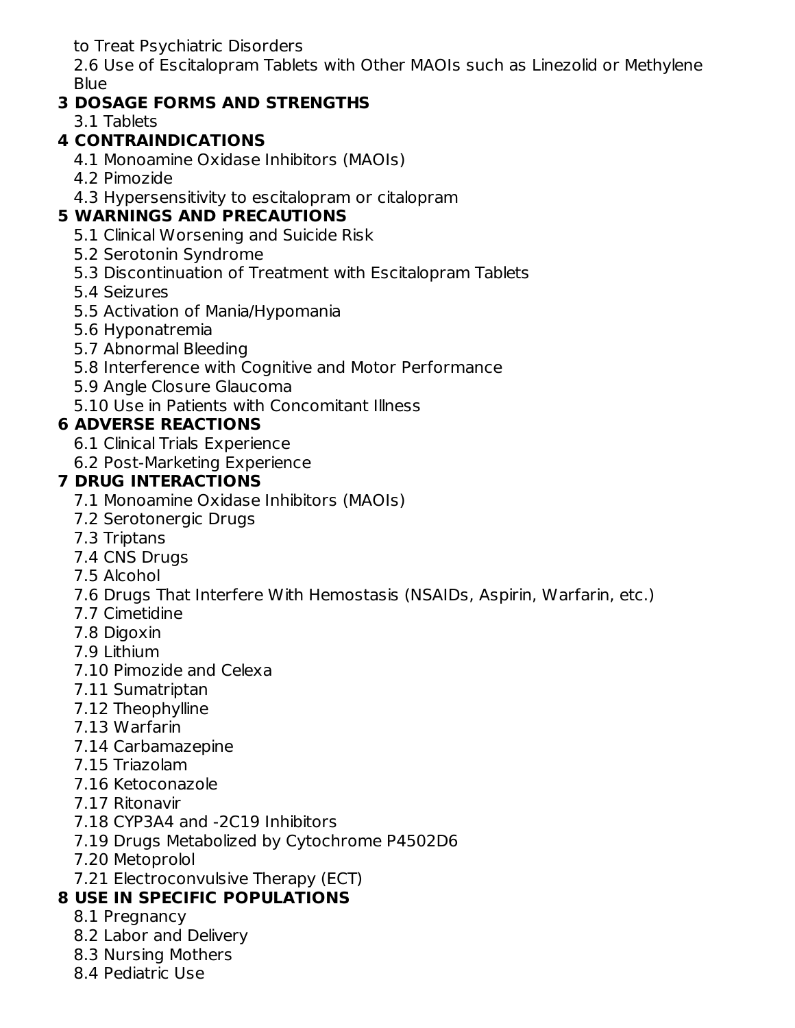to Treat Psychiatric Disorders

2.6 Use of Escitalopram Tablets with Other MAOIs such as Linezolid or Methylene Blue

# **3 DOSAGE FORMS AND STRENGTHS**

3.1 Tablets

# **4 CONTRAINDICATIONS**

- 4.1 Monoamine Oxidase Inhibitors (MAOIs)
- 4.2 Pimozide
- 4.3 Hypersensitivity to escitalopram or citalopram

# **5 WARNINGS AND PRECAUTIONS**

- 5.1 Clinical Worsening and Suicide Risk
- 5.2 Serotonin Syndrome
- 5.3 Discontinuation of Treatment with Escitalopram Tablets
- 5.4 Seizures
- 5.5 Activation of Mania/Hypomania
- 5.6 Hyponatremia
- 5.7 Abnormal Bleeding
- 5.8 Interference with Cognitive and Motor Performance
- 5.9 Angle Closure Glaucoma
- 5.10 Use in Patients with Concomitant Illness

# **6 ADVERSE REACTIONS**

- 6.1 Clinical Trials Experience
- 6.2 Post-Marketing Experience

# **7 DRUG INTERACTIONS**

- 7.1 Monoamine Oxidase Inhibitors (MAOIs)
- 7.2 Serotonergic Drugs
- 7.3 Triptans
- 7.4 CNS Drugs
- 7.5 Alcohol
- 7.6 Drugs That Interfere With Hemostasis (NSAIDs, Aspirin, Warfarin, etc.)
- 7.7 Cimetidine
- 7.8 Digoxin
- 7.9 Lithium
- 7.10 Pimozide and Celexa
- 7.11 Sumatriptan
- 7.12 Theophylline
- 7.13 Warfarin
- 7.14 Carbamazepine
- 7.15 Triazolam
- 7.16 Ketoconazole
- 7.17 Ritonavir
- 7.18 CYP3A4 and -2C19 Inhibitors
- 7.19 Drugs Metabolized by Cytochrome P4502D6
- 7.20 Metoprolol
- 7.21 Electroconvulsive Therapy (ECT)

# **8 USE IN SPECIFIC POPULATIONS**

- 8.1 Pregnancy
- 8.2 Labor and Delivery
- 8.3 Nursing Mothers
- 8.4 Pediatric Use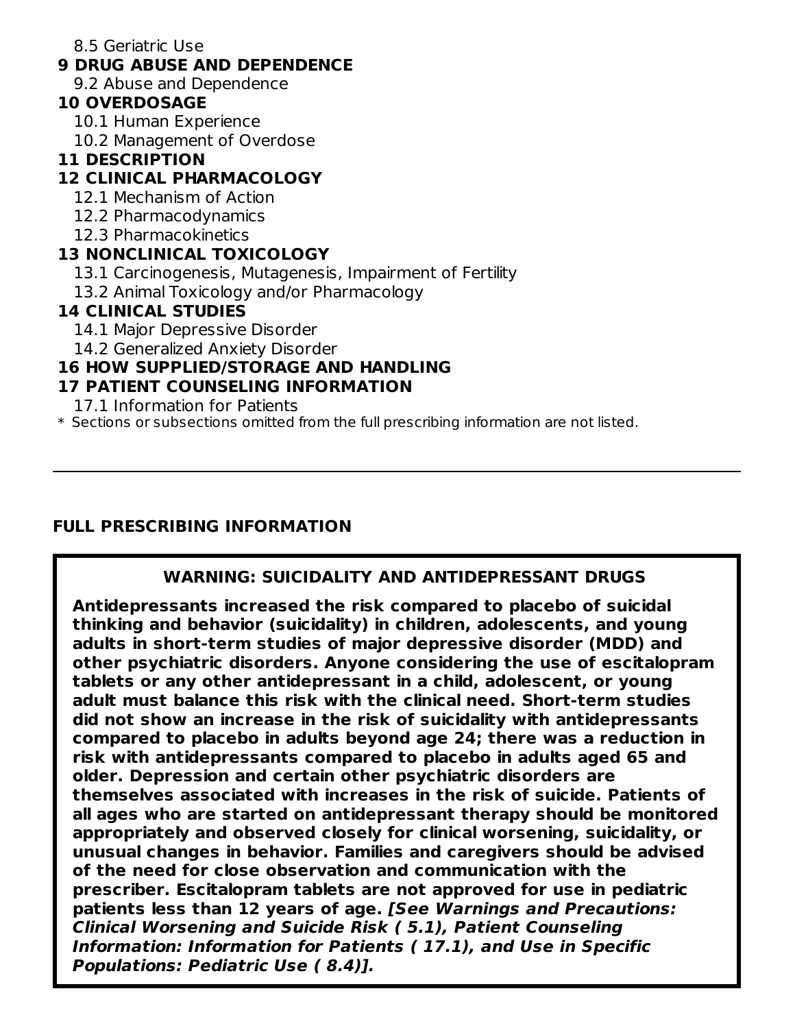8.5 Geriatric Use

#### **9 DRUG ABUSE AND DEPENDENCE**

9.2 Abuse and Dependence

#### **10 OVERDOSAGE**

10.1 Human Experience

10.2 Management of Overdose

#### **11 DESCRIPTION**

### **12 CLINICAL PHARMACOLOGY**

- 12.1 Mechanism of Action
- 12.2 Pharmacodynamics
- 12.3 Pharmacokinetics

#### **13 NONCLINICAL TOXICOLOGY**

- 13.1 Carcinogenesis, Mutagenesis, Impairment of Fertility
- 13.2 Animal Toxicology and/or Pharmacology

#### **14 CLINICAL STUDIES**

- 14.1 Major Depressive Disorder
- 14.2 Generalized Anxiety Disorder

# **16 HOW SUPPLIED/STORAGE AND HANDLING**

#### **17 PATIENT COUNSELING INFORMATION**

- 17.1 Information for Patients
- \* Sections or subsections omitted from the full prescribing information are not listed.

#### **FULL PRESCRIBING INFORMATION**

#### **WARNING: SUICIDALITY AND ANTIDEPRESSANT DRUGS**

**Antidepressants increased the risk compared to placebo of suicidal thinking and behavior (suicidality) in children, adolescents, and young adults in short-term studies of major depressive disorder (MDD) and other psychiatric disorders. Anyone considering the use of escitalopram tablets or any other antidepressant in a child, adolescent, or young adult must balance this risk with the clinical need. Short-term studies did not show an increase in the risk of suicidality with antidepressants compared to placebo in adults beyond age 24; there was a reduction in risk with antidepressants compared to placebo in adults aged 65 and older. Depression and certain other psychiatric disorders are themselves associated with increases in the risk of suicide. Patients of all ages who are started on antidepressant therapy should be monitored appropriately and observed closely for clinical worsening, suicidality, or unusual changes in behavior. Families and caregivers should be advised of the need for close observation and communication with the prescriber. Escitalopram tablets are not approved for use in pediatric patients less than 12 years of age. [See Warnings and Precautions: Clinical Worsening and Suicide Risk ( 5.1), Patient Counseling Information: Information for Patients ( 17.1), and Use in Specific Populations: Pediatric Use ( 8.4)].**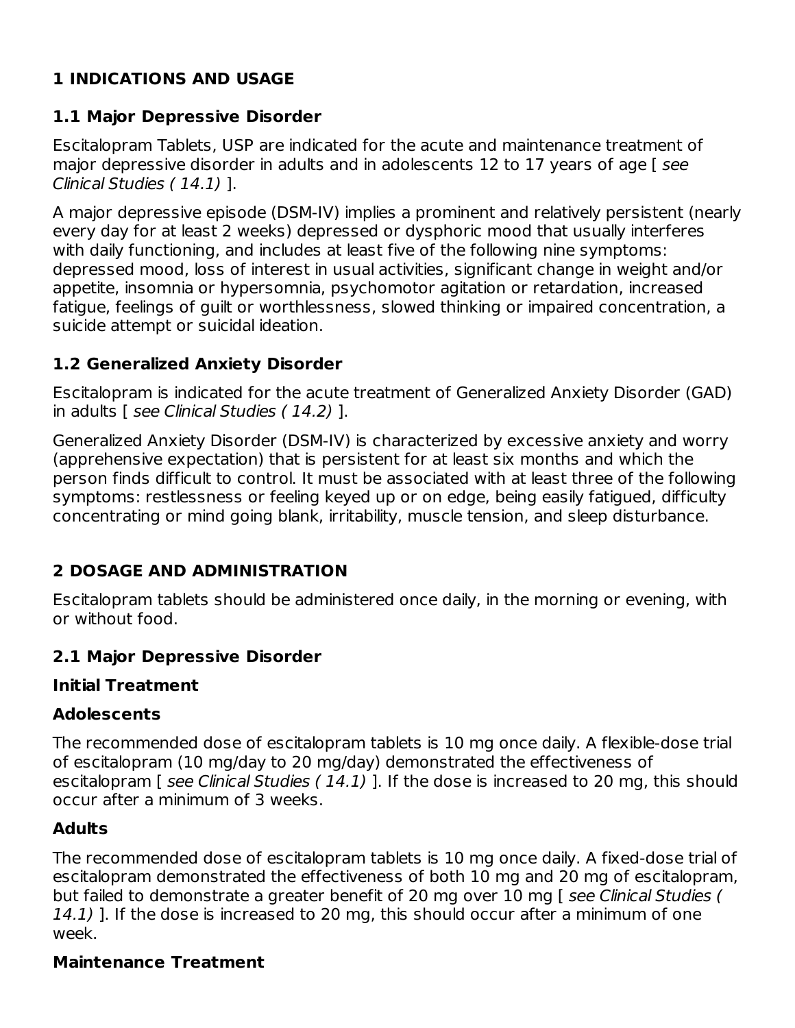### **1 INDICATIONS AND USAGE**

#### **1.1 Major Depressive Disorder**

Escitalopram Tablets, USP are indicated for the acute and maintenance treatment of major depressive disorder in adults and in adolescents 12 to 17 years of age [ see Clinical Studies ( 14.1) ].

A major depressive episode (DSM-IV) implies a prominent and relatively persistent (nearly every day for at least 2 weeks) depressed or dysphoric mood that usually interferes with daily functioning, and includes at least five of the following nine symptoms: depressed mood, loss of interest in usual activities, significant change in weight and/or appetite, insomnia or hypersomnia, psychomotor agitation or retardation, increased fatigue, feelings of guilt or worthlessness, slowed thinking or impaired concentration, a suicide attempt or suicidal ideation.

#### **1.2 Generalized Anxiety Disorder**

Escitalopram is indicated for the acute treatment of Generalized Anxiety Disorder (GAD) in adults [ see Clinical Studies ( 14.2) ].

Generalized Anxiety Disorder (DSM-IV) is characterized by excessive anxiety and worry (apprehensive expectation) that is persistent for at least six months and which the person finds difficult to control. It must be associated with at least three of the following symptoms: restlessness or feeling keyed up or on edge, being easily fatigued, difficulty concentrating or mind going blank, irritability, muscle tension, and sleep disturbance.

#### **2 DOSAGE AND ADMINISTRATION**

Escitalopram tablets should be administered once daily, in the morning or evening, with or without food.

#### **2.1 Major Depressive Disorder**

#### **Initial Treatment**

#### **Adolescents**

The recommended dose of escitalopram tablets is 10 mg once daily. A flexible-dose trial of escitalopram (10 mg/day to 20 mg/day) demonstrated the effectiveness of escitalopram [ see Clinical Studies ( 14.1) ]. If the dose is increased to 20 mg, this should occur after a minimum of 3 weeks.

#### **Adults**

The recommended dose of escitalopram tablets is 10 mg once daily. A fixed-dose trial of escitalopram demonstrated the effectiveness of both 10 mg and 20 mg of escitalopram, but failed to demonstrate a greater benefit of 20 mg over 10 mg [ see Clinical Studies ( 14.1) ]. If the dose is increased to 20 mg, this should occur after a minimum of one week.

#### **Maintenance Treatment**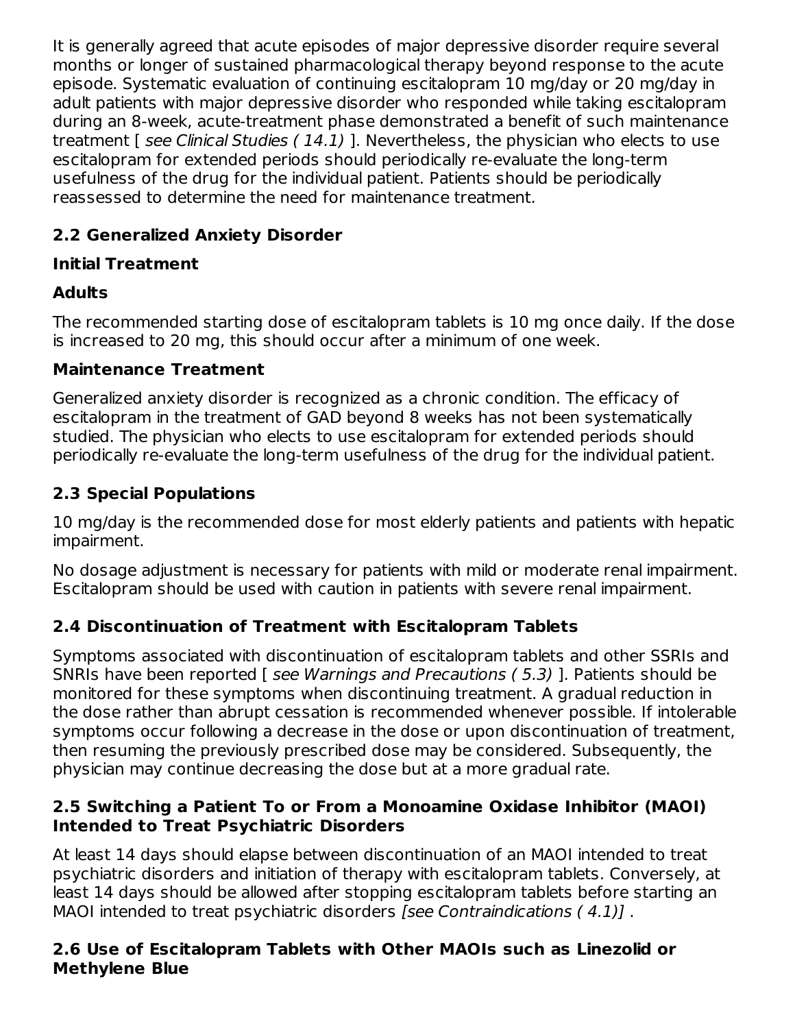It is generally agreed that acute episodes of major depressive disorder require several months or longer of sustained pharmacological therapy beyond response to the acute episode. Systematic evaluation of continuing escitalopram 10 mg/day or 20 mg/day in adult patients with major depressive disorder who responded while taking escitalopram during an 8-week, acute-treatment phase demonstrated a benefit of such maintenance treatment [ see Clinical Studies ( 14.1) ]. Nevertheless, the physician who elects to use escitalopram for extended periods should periodically re-evaluate the long-term usefulness of the drug for the individual patient. Patients should be periodically reassessed to determine the need for maintenance treatment.

# **2.2 Generalized Anxiety Disorder**

### **Initial Treatment**

### **Adults**

The recommended starting dose of escitalopram tablets is 10 mg once daily. If the dose is increased to 20 mg, this should occur after a minimum of one week.

### **Maintenance Treatment**

Generalized anxiety disorder is recognized as a chronic condition. The efficacy of escitalopram in the treatment of GAD beyond 8 weeks has not been systematically studied. The physician who elects to use escitalopram for extended periods should periodically re-evaluate the long-term usefulness of the drug for the individual patient.

### **2.3 Special Populations**

10 mg/day is the recommended dose for most elderly patients and patients with hepatic impairment.

No dosage adjustment is necessary for patients with mild or moderate renal impairment. Escitalopram should be used with caution in patients with severe renal impairment.

# **2.4 Discontinuation of Treatment with Escitalopram Tablets**

Symptoms associated with discontinuation of escitalopram tablets and other SSRIs and SNRIs have been reported [ see Warnings and Precautions (5.3) ]. Patients should be monitored for these symptoms when discontinuing treatment. A gradual reduction in the dose rather than abrupt cessation is recommended whenever possible. If intolerable symptoms occur following a decrease in the dose or upon discontinuation of treatment, then resuming the previously prescribed dose may be considered. Subsequently, the physician may continue decreasing the dose but at a more gradual rate.

#### **2.5 Switching a Patient To or From a Monoamine Oxidase Inhibitor (MAOI) Intended to Treat Psychiatric Disorders**

At least 14 days should elapse between discontinuation of an MAOI intended to treat psychiatric disorders and initiation of therapy with escitalopram tablets. Conversely, at least 14 days should be allowed after stopping escitalopram tablets before starting an MAOI intended to treat psychiatric disorders [see Contraindications (4.1)].

#### **2.6 Use of Escitalopram Tablets with Other MAOIs such as Linezolid or Methylene Blue**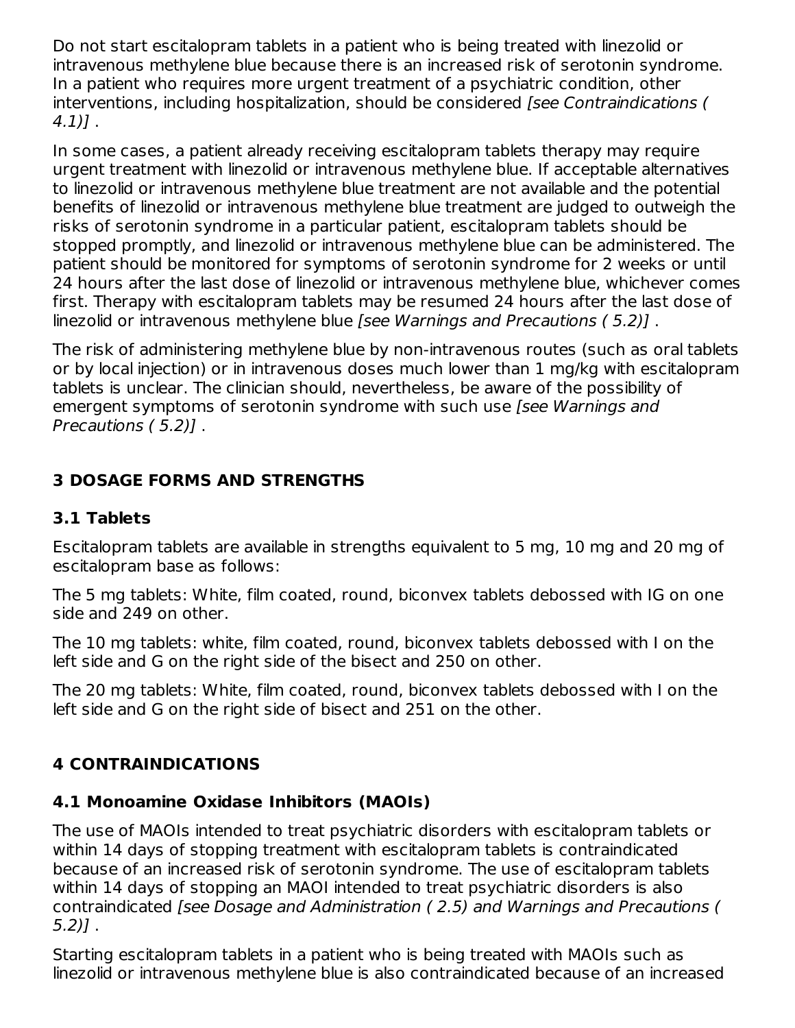Do not start escitalopram tablets in a patient who is being treated with linezolid or intravenous methylene blue because there is an increased risk of serotonin syndrome. In a patient who requires more urgent treatment of a psychiatric condition, other interventions, including hospitalization, should be considered [see Contraindications ( 4.1)] .

In some cases, a patient already receiving escitalopram tablets therapy may require urgent treatment with linezolid or intravenous methylene blue. If acceptable alternatives to linezolid or intravenous methylene blue treatment are not available and the potential benefits of linezolid or intravenous methylene blue treatment are judged to outweigh the risks of serotonin syndrome in a particular patient, escitalopram tablets should be stopped promptly, and linezolid or intravenous methylene blue can be administered. The patient should be monitored for symptoms of serotonin syndrome for 2 weeks or until 24 hours after the last dose of linezolid or intravenous methylene blue, whichever comes first. Therapy with escitalopram tablets may be resumed 24 hours after the last dose of linezolid or intravenous methylene blue [see Warnings and Precautions ( 5.2)] .

The risk of administering methylene blue by non-intravenous routes (such as oral tablets or by local injection) or in intravenous doses much lower than 1 mg/kg with escitalopram tablets is unclear. The clinician should, nevertheless, be aware of the possibility of emergent symptoms of serotonin syndrome with such use [see Warnings and Precautions ( 5.2)] .

# **3 DOSAGE FORMS AND STRENGTHS**

#### **3.1 Tablets**

Escitalopram tablets are available in strengths equivalent to 5 mg, 10 mg and 20 mg of escitalopram base as follows:

The 5 mg tablets: White, film coated, round, biconvex tablets debossed with IG on one side and 249 on other.

The 10 mg tablets: white, film coated, round, biconvex tablets debossed with I on the left side and G on the right side of the bisect and 250 on other.

The 20 mg tablets: White, film coated, round, biconvex tablets debossed with I on the left side and G on the right side of bisect and 251 on the other.

# **4 CONTRAINDICATIONS**

#### **4.1 Monoamine Oxidase Inhibitors (MAOIs)**

The use of MAOIs intended to treat psychiatric disorders with escitalopram tablets or within 14 days of stopping treatment with escitalopram tablets is contraindicated because of an increased risk of serotonin syndrome. The use of escitalopram tablets within 14 days of stopping an MAOI intended to treat psychiatric disorders is also contraindicated [see Dosage and Administration ( 2.5) and Warnings and Precautions (  $5.2)$ ].

Starting escitalopram tablets in a patient who is being treated with MAOIs such as linezolid or intravenous methylene blue is also contraindicated because of an increased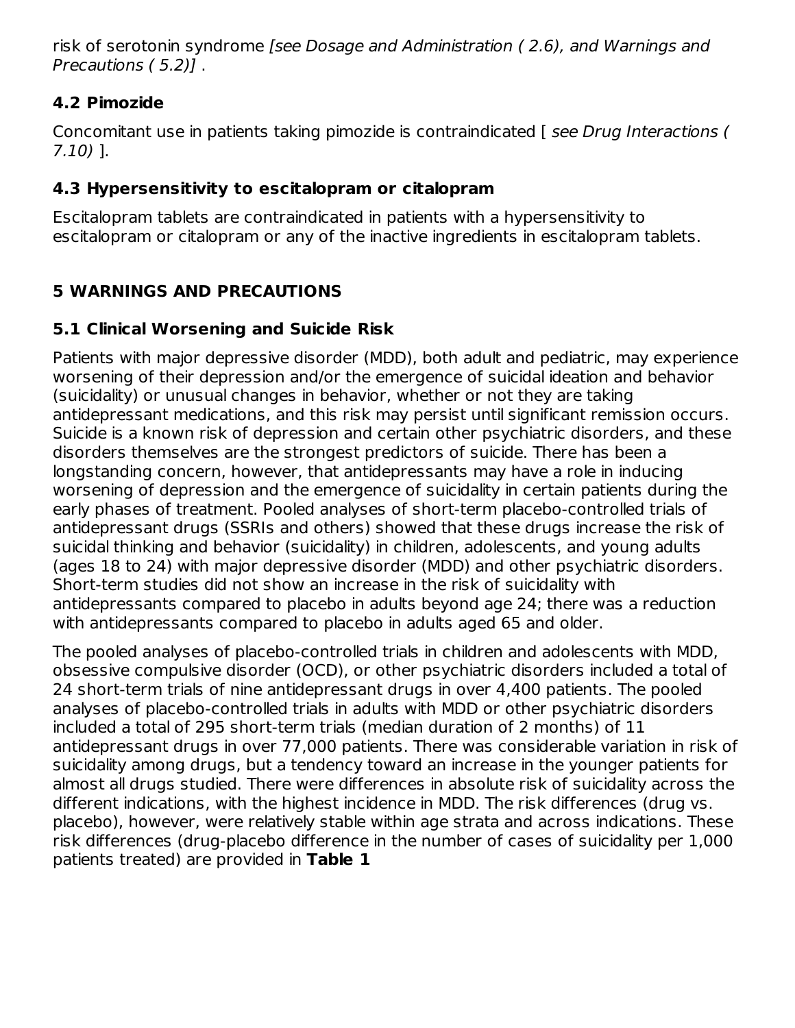risk of serotonin syndrome [see Dosage and Administration ( 2.6), and Warnings and Precautions ( 5.2)] .

# **4.2 Pimozide**

Concomitant use in patients taking pimozide is contraindicated [ see Drug Interactions ( 7.10) ].

# **4.3 Hypersensitivity to escitalopram or citalopram**

Escitalopram tablets are contraindicated in patients with a hypersensitivity to escitalopram or citalopram or any of the inactive ingredients in escitalopram tablets.

# **5 WARNINGS AND PRECAUTIONS**

# **5.1 Clinical Worsening and Suicide Risk**

Patients with major depressive disorder (MDD), both adult and pediatric, may experience worsening of their depression and/or the emergence of suicidal ideation and behavior (suicidality) or unusual changes in behavior, whether or not they are taking antidepressant medications, and this risk may persist until significant remission occurs. Suicide is a known risk of depression and certain other psychiatric disorders, and these disorders themselves are the strongest predictors of suicide. There has been a longstanding concern, however, that antidepressants may have a role in inducing worsening of depression and the emergence of suicidality in certain patients during the early phases of treatment. Pooled analyses of short-term placebo-controlled trials of antidepressant drugs (SSRIs and others) showed that these drugs increase the risk of suicidal thinking and behavior (suicidality) in children, adolescents, and young adults (ages 18 to 24) with major depressive disorder (MDD) and other psychiatric disorders. Short-term studies did not show an increase in the risk of suicidality with antidepressants compared to placebo in adults beyond age 24; there was a reduction with antidepressants compared to placebo in adults aged 65 and older.

The pooled analyses of placebo-controlled trials in children and adolescents with MDD, obsessive compulsive disorder (OCD), or other psychiatric disorders included a total of 24 short-term trials of nine antidepressant drugs in over 4,400 patients. The pooled analyses of placebo-controlled trials in adults with MDD or other psychiatric disorders included a total of 295 short-term trials (median duration of 2 months) of 11 antidepressant drugs in over 77,000 patients. There was considerable variation in risk of suicidality among drugs, but a tendency toward an increase in the younger patients for almost all drugs studied. There were differences in absolute risk of suicidality across the different indications, with the highest incidence in MDD. The risk differences (drug vs. placebo), however, were relatively stable within age strata and across indications. These risk differences (drug-placebo difference in the number of cases of suicidality per 1,000 patients treated) are provided in **Table 1**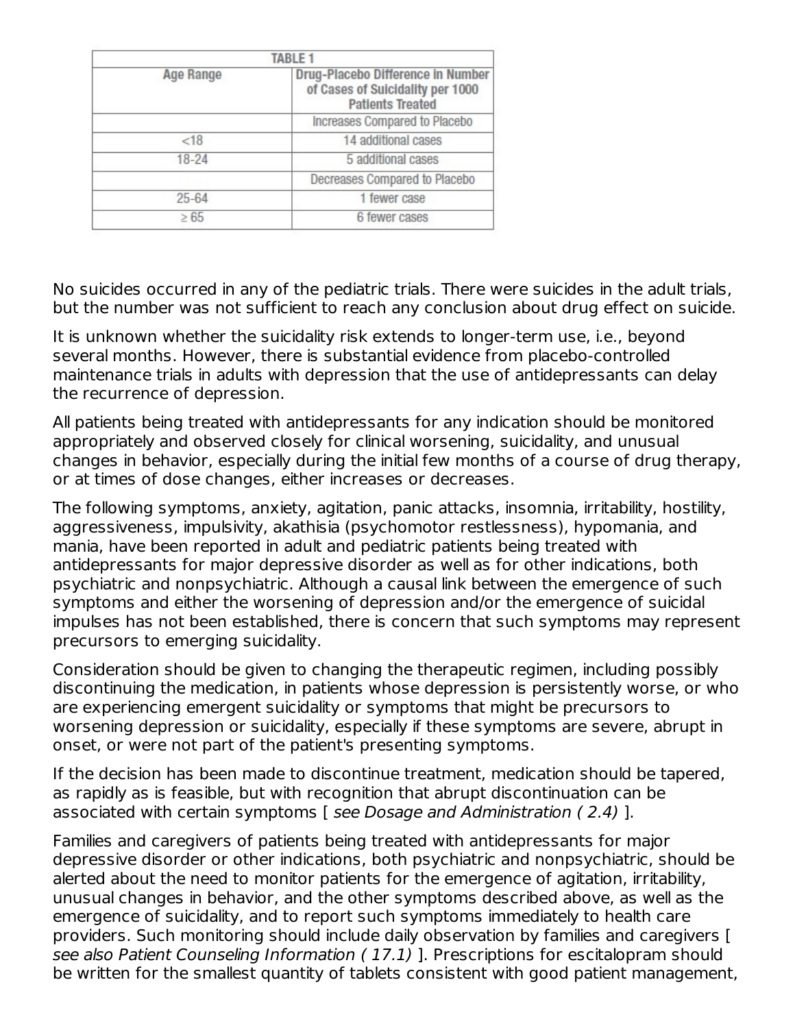|                  | <b>TABLE 1</b>                                                                                   |
|------------------|--------------------------------------------------------------------------------------------------|
| <b>Age Range</b> | Drug-Placebo Difference in Number<br>of Cases of Suicidality per 1000<br><b>Patients Treated</b> |
|                  | Increases Compared to Placebo                                                                    |
| < 18             | 14 additional cases                                                                              |
| $18 - 24$        | 5 additional cases                                                                               |
|                  | Decreases Compared to Placebo                                                                    |
| $25 - 64$        | 1 fewer case                                                                                     |
| $\geq 65$        | 6 fewer cases                                                                                    |
|                  |                                                                                                  |

No suicides occurred in any of the pediatric trials. There were suicides in the adult trials, but the number was not sufficient to reach any conclusion about drug effect on suicide.

It is unknown whether the suicidality risk extends to longer-term use, i.e., beyond several months. However, there is substantial evidence from placebo-controlled maintenance trials in adults with depression that the use of antidepressants can delay the recurrence of depression.

All patients being treated with antidepressants for any indication should be monitored appropriately and observed closely for clinical worsening, suicidality, and unusual changes in behavior, especially during the initial few months of a course of drug therapy, or at times of dose changes, either increases or decreases.

The following symptoms, anxiety, agitation, panic attacks, insomnia, irritability, hostility, aggressiveness, impulsivity, akathisia (psychomotor restlessness), hypomania, and mania, have been reported in adult and pediatric patients being treated with antidepressants for major depressive disorder as well as for other indications, both psychiatric and nonpsychiatric. Although a causal link between the emergence of such symptoms and either the worsening of depression and/or the emergence of suicidal impulses has not been established, there is concern that such symptoms may represent precursors to emerging suicidality.

Consideration should be given to changing the therapeutic regimen, including possibly discontinuing the medication, in patients whose depression is persistently worse, or who are experiencing emergent suicidality or symptoms that might be precursors to worsening depression or suicidality, especially if these symptoms are severe, abrupt in onset, or were not part of the patient's presenting symptoms.

If the decision has been made to discontinue treatment, medication should be tapered, as rapidly as is feasible, but with recognition that abrupt discontinuation can be associated with certain symptoms [ see Dosage and Administration ( 2.4) ].

Families and caregivers of patients being treated with antidepressants for major depressive disorder or other indications, both psychiatric and nonpsychiatric, should be alerted about the need to monitor patients for the emergence of agitation, irritability, unusual changes in behavior, and the other symptoms described above, as well as the emergence of suicidality, and to report such symptoms immediately to health care providers. Such monitoring should include daily observation by families and caregivers [ see also Patient Counseling Information ( 17.1) ]. Prescriptions for escitalopram should be written for the smallest quantity of tablets consistent with good patient management,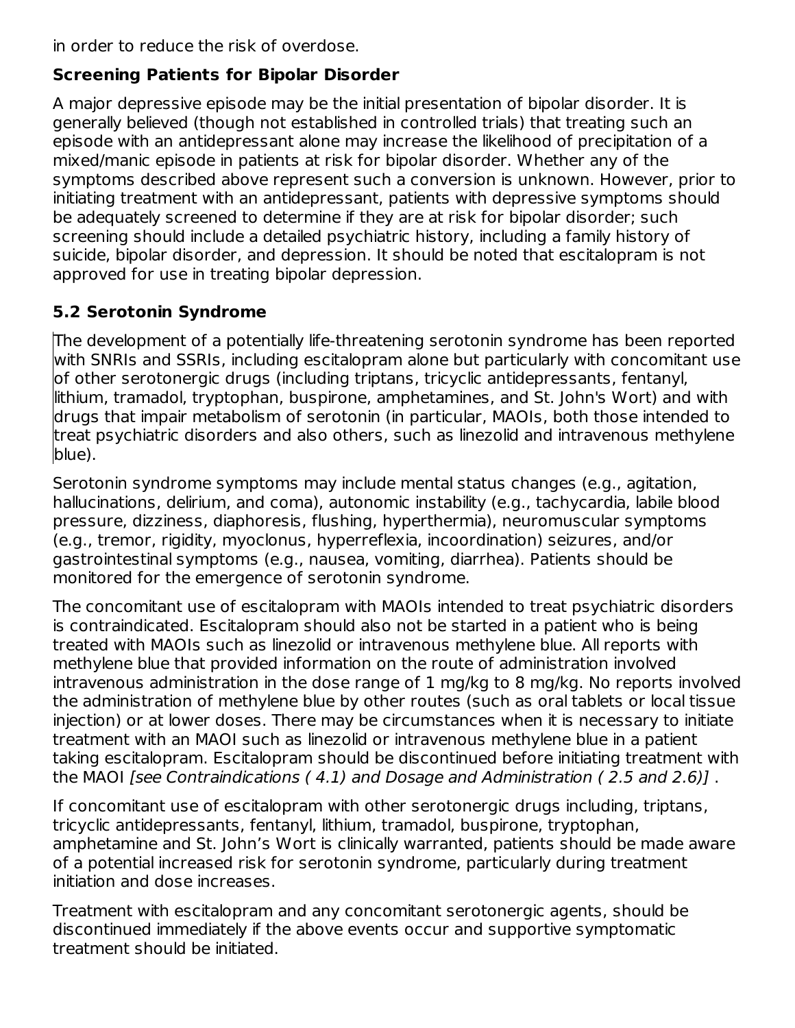in order to reduce the risk of overdose.

#### **Screening Patients for Bipolar Disorder**

A major depressive episode may be the initial presentation of bipolar disorder. It is generally believed (though not established in controlled trials) that treating such an episode with an antidepressant alone may increase the likelihood of precipitation of a mixed/manic episode in patients at risk for bipolar disorder. Whether any of the symptoms described above represent such a conversion is unknown. However, prior to initiating treatment with an antidepressant, patients with depressive symptoms should be adequately screened to determine if they are at risk for bipolar disorder; such screening should include a detailed psychiatric history, including a family history of suicide, bipolar disorder, and depression. It should be noted that escitalopram is not approved for use in treating bipolar depression.

# **5.2 Serotonin Syndrome**

The development of a potentially life-threatening serotonin syndrome has been reported with SNRIs and SSRIs, including escitalopram alone but particularly with concomitant use of other serotonergic drugs (including triptans, tricyclic antidepressants, fentanyl, lithium, tramadol, tryptophan, buspirone, amphetamines, and St. John's Wort) and with drugs that impair metabolism of serotonin (in particular, MAOIs, both those intended to treat psychiatric disorders and also others, such as linezolid and intravenous methylene blue).

Serotonin syndrome symptoms may include mental status changes (e.g., agitation, hallucinations, delirium, and coma), autonomic instability (e.g., tachycardia, labile blood pressure, dizziness, diaphoresis, flushing, hyperthermia), neuromuscular symptoms (e.g., tremor, rigidity, myoclonus, hyperreflexia, incoordination) seizures, and/or gastrointestinal symptoms (e.g., nausea, vomiting, diarrhea). Patients should be monitored for the emergence of serotonin syndrome.

The concomitant use of escitalopram with MAOIs intended to treat psychiatric disorders is contraindicated. Escitalopram should also not be started in a patient who is being treated with MAOIs such as linezolid or intravenous methylene blue. All reports with methylene blue that provided information on the route of administration involved intravenous administration in the dose range of 1 mg/kg to 8 mg/kg. No reports involved the administration of methylene blue by other routes (such as oral tablets or local tissue injection) or at lower doses. There may be circumstances when it is necessary to initiate treatment with an MAOI such as linezolid or intravenous methylene blue in a patient taking escitalopram. Escitalopram should be discontinued before initiating treatment with the MAOI [see Contraindications ( 4.1) and Dosage and Administration ( 2.5 and 2.6)] .

If concomitant use of escitalopram with other serotonergic drugs including, triptans, tricyclic antidepressants, fentanyl, lithium, tramadol, buspirone, tryptophan, amphetamine and St. John's Wort is clinically warranted, patients should be made aware of a potential increased risk for serotonin syndrome, particularly during treatment initiation and dose increases.

Treatment with escitalopram and any concomitant serotonergic agents, should be discontinued immediately if the above events occur and supportive symptomatic treatment should be initiated.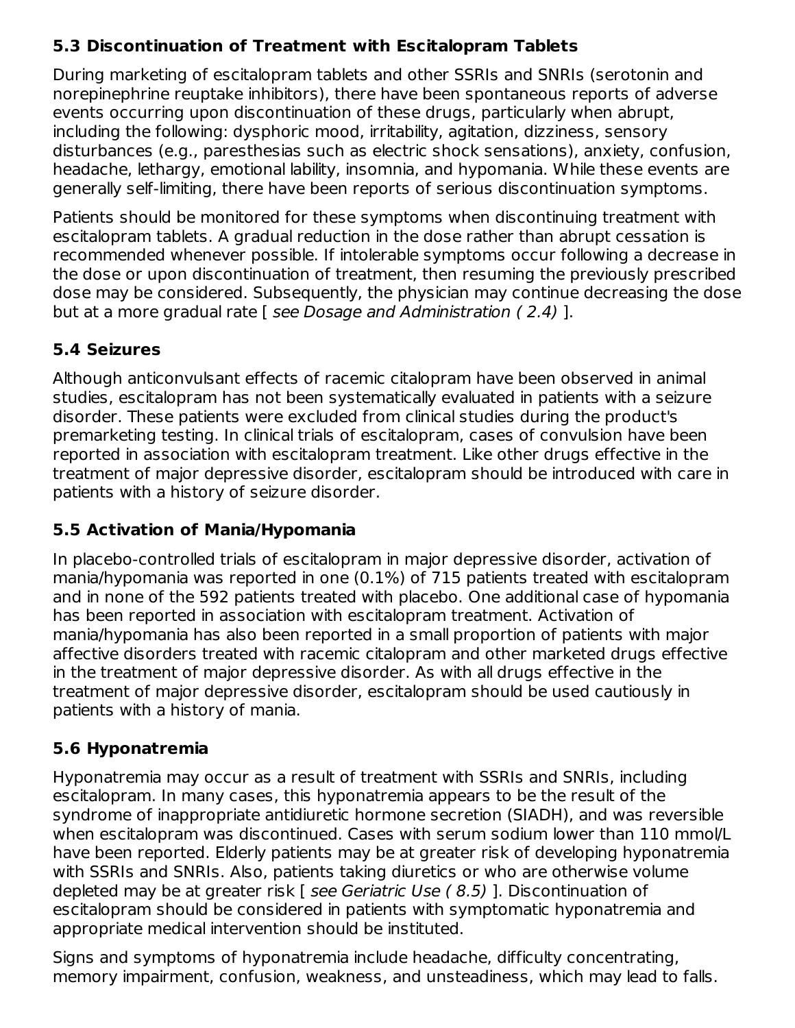# **5.3 Discontinuation of Treatment with Escitalopram Tablets**

During marketing of escitalopram tablets and other SSRIs and SNRIs (serotonin and norepinephrine reuptake inhibitors), there have been spontaneous reports of adverse events occurring upon discontinuation of these drugs, particularly when abrupt, including the following: dysphoric mood, irritability, agitation, dizziness, sensory disturbances (e.g., paresthesias such as electric shock sensations), anxiety, confusion, headache, lethargy, emotional lability, insomnia, and hypomania. While these events are generally self-limiting, there have been reports of serious discontinuation symptoms.

Patients should be monitored for these symptoms when discontinuing treatment with escitalopram tablets. A gradual reduction in the dose rather than abrupt cessation is recommended whenever possible. If intolerable symptoms occur following a decrease in the dose or upon discontinuation of treatment, then resuming the previously prescribed dose may be considered. Subsequently, the physician may continue decreasing the dose but at a more gradual rate [ see Dosage and Administration ( 2.4) ].

# **5.4 Seizures**

Although anticonvulsant effects of racemic citalopram have been observed in animal studies, escitalopram has not been systematically evaluated in patients with a seizure disorder. These patients were excluded from clinical studies during the product's premarketing testing. In clinical trials of escitalopram, cases of convulsion have been reported in association with escitalopram treatment. Like other drugs effective in the treatment of major depressive disorder, escitalopram should be introduced with care in patients with a history of seizure disorder.

# **5.5 Activation of Mania/Hypomania**

In placebo-controlled trials of escitalopram in major depressive disorder, activation of mania/hypomania was reported in one (0.1%) of 715 patients treated with escitalopram and in none of the 592 patients treated with placebo. One additional case of hypomania has been reported in association with escitalopram treatment. Activation of mania/hypomania has also been reported in a small proportion of patients with major affective disorders treated with racemic citalopram and other marketed drugs effective in the treatment of major depressive disorder. As with all drugs effective in the treatment of major depressive disorder, escitalopram should be used cautiously in patients with a history of mania.

# **5.6 Hyponatremia**

Hyponatremia may occur as a result of treatment with SSRIs and SNRIs, including escitalopram. In many cases, this hyponatremia appears to be the result of the syndrome of inappropriate antidiuretic hormone secretion (SIADH), and was reversible when escitalopram was discontinued. Cases with serum sodium lower than 110 mmol/L have been reported. Elderly patients may be at greater risk of developing hyponatremia with SSRIs and SNRIs. Also, patients taking diuretics or who are otherwise volume depleted may be at greater risk [ see Geriatric Use ( 8.5) ]. Discontinuation of escitalopram should be considered in patients with symptomatic hyponatremia and appropriate medical intervention should be instituted.

Signs and symptoms of hyponatremia include headache, difficulty concentrating, memory impairment, confusion, weakness, and unsteadiness, which may lead to falls.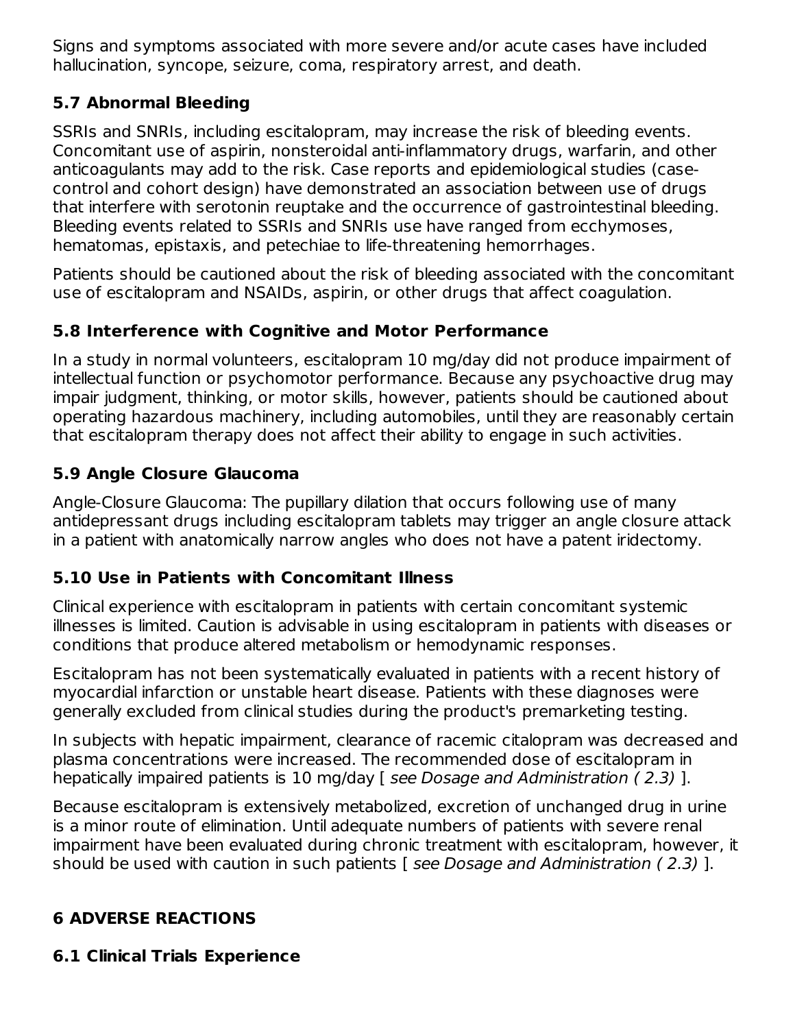Signs and symptoms associated with more severe and/or acute cases have included hallucination, syncope, seizure, coma, respiratory arrest, and death.

# **5.7 Abnormal Bleeding**

SSRIs and SNRIs, including escitalopram, may increase the risk of bleeding events. Concomitant use of aspirin, nonsteroidal anti-inflammatory drugs, warfarin, and other anticoagulants may add to the risk. Case reports and epidemiological studies (casecontrol and cohort design) have demonstrated an association between use of drugs that interfere with serotonin reuptake and the occurrence of gastrointestinal bleeding. Bleeding events related to SSRIs and SNRIs use have ranged from ecchymoses, hematomas, epistaxis, and petechiae to life-threatening hemorrhages.

Patients should be cautioned about the risk of bleeding associated with the concomitant use of escitalopram and NSAIDs, aspirin, or other drugs that affect coagulation.

# **5.8 Interference with Cognitive and Motor Performance**

In a study in normal volunteers, escitalopram 10 mg/day did not produce impairment of intellectual function or psychomotor performance. Because any psychoactive drug may impair judgment, thinking, or motor skills, however, patients should be cautioned about operating hazardous machinery, including automobiles, until they are reasonably certain that escitalopram therapy does not affect their ability to engage in such activities.

# **5.9 Angle Closure Glaucoma**

Angle-Closure Glaucoma: The pupillary dilation that occurs following use of many antidepressant drugs including escitalopram tablets may trigger an angle closure attack in a patient with anatomically narrow angles who does not have a patent iridectomy.

# **5.10 Use in Patients with Concomitant Illness**

Clinical experience with escitalopram in patients with certain concomitant systemic illnesses is limited. Caution is advisable in using escitalopram in patients with diseases or conditions that produce altered metabolism or hemodynamic responses.

Escitalopram has not been systematically evaluated in patients with a recent history of myocardial infarction or unstable heart disease. Patients with these diagnoses were generally excluded from clinical studies during the product's premarketing testing.

In subjects with hepatic impairment, clearance of racemic citalopram was decreased and plasma concentrations were increased. The recommended dose of escitalopram in hepatically impaired patients is 10 mg/day [ see Dosage and Administration ( 2.3) ].

Because escitalopram is extensively metabolized, excretion of unchanged drug in urine is a minor route of elimination. Until adequate numbers of patients with severe renal impairment have been evaluated during chronic treatment with escitalopram, however, it should be used with caution in such patients [ see Dosage and Administration ( 2.3) ].

# **6 ADVERSE REACTIONS**

# **6.1 Clinical Trials Experience**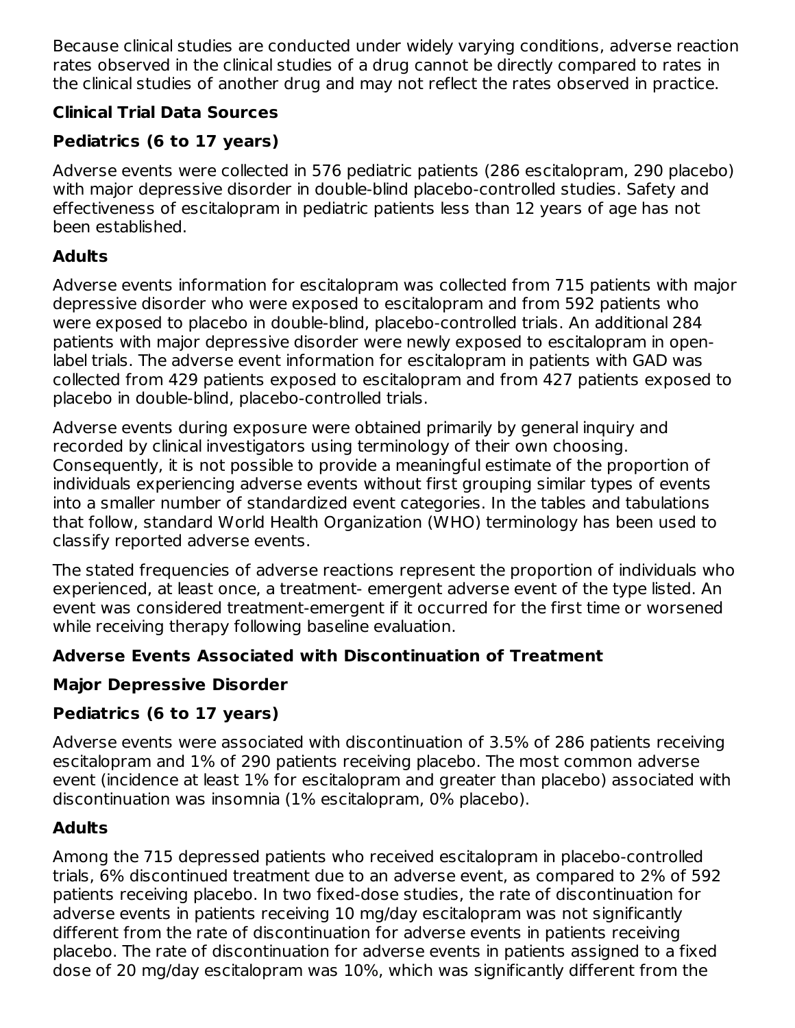Because clinical studies are conducted under widely varying conditions, adverse reaction rates observed in the clinical studies of a drug cannot be directly compared to rates in the clinical studies of another drug and may not reflect the rates observed in practice.

# **Clinical Trial Data Sources**

# **Pediatrics (6 to 17 years)**

Adverse events were collected in 576 pediatric patients (286 escitalopram, 290 placebo) with major depressive disorder in double-blind placebo-controlled studies. Safety and effectiveness of escitalopram in pediatric patients less than 12 years of age has not been established.

# **Adults**

Adverse events information for escitalopram was collected from 715 patients with major depressive disorder who were exposed to escitalopram and from 592 patients who were exposed to placebo in double-blind, placebo-controlled trials. An additional 284 patients with major depressive disorder were newly exposed to escitalopram in openlabel trials. The adverse event information for escitalopram in patients with GAD was collected from 429 patients exposed to escitalopram and from 427 patients exposed to placebo in double-blind, placebo-controlled trials.

Adverse events during exposure were obtained primarily by general inquiry and recorded by clinical investigators using terminology of their own choosing. Consequently, it is not possible to provide a meaningful estimate of the proportion of individuals experiencing adverse events without first grouping similar types of events into a smaller number of standardized event categories. In the tables and tabulations that follow, standard World Health Organization (WHO) terminology has been used to classify reported adverse events.

The stated frequencies of adverse reactions represent the proportion of individuals who experienced, at least once, a treatment- emergent adverse event of the type listed. An event was considered treatment-emergent if it occurred for the first time or worsened while receiving therapy following baseline evaluation.

# **Adverse Events Associated with Discontinuation of Treatment**

# **Major Depressive Disorder**

# **Pediatrics (6 to 17 years)**

Adverse events were associated with discontinuation of 3.5% of 286 patients receiving escitalopram and 1% of 290 patients receiving placebo. The most common adverse event (incidence at least 1% for escitalopram and greater than placebo) associated with discontinuation was insomnia (1% escitalopram, 0% placebo).

# **Adults**

Among the 715 depressed patients who received escitalopram in placebo-controlled trials, 6% discontinued treatment due to an adverse event, as compared to 2% of 592 patients receiving placebo. In two fixed-dose studies, the rate of discontinuation for adverse events in patients receiving 10 mg/day escitalopram was not significantly different from the rate of discontinuation for adverse events in patients receiving placebo. The rate of discontinuation for adverse events in patients assigned to a fixed dose of 20 mg/day escitalopram was 10%, which was significantly different from the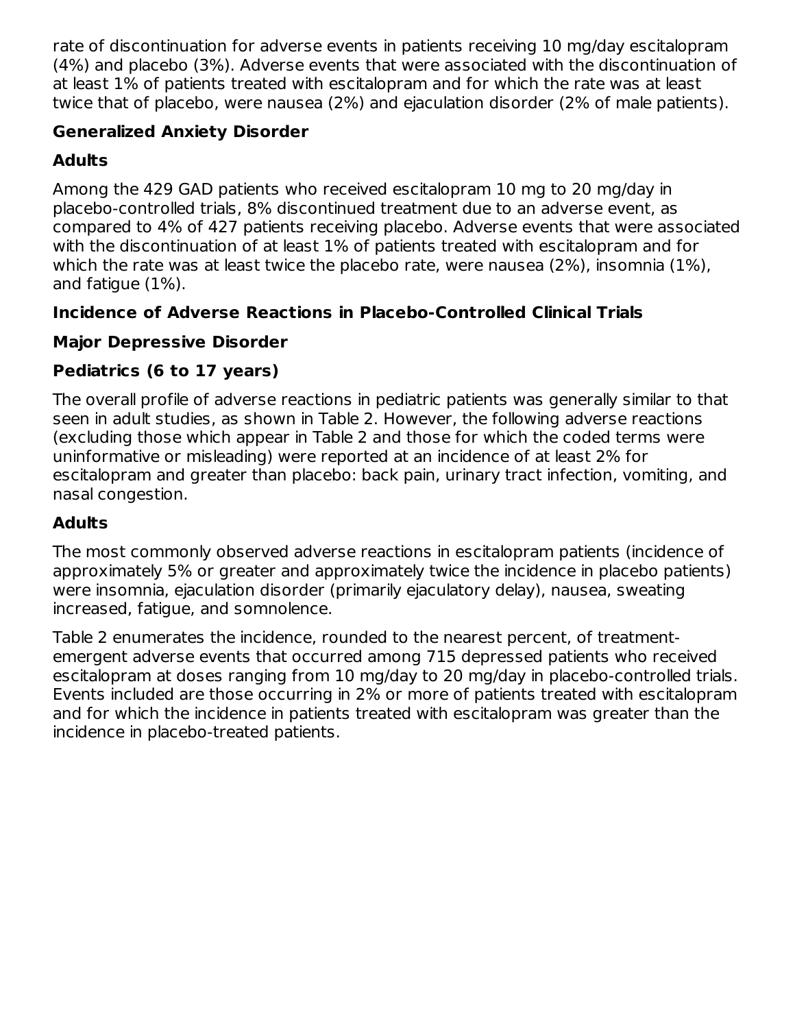rate of discontinuation for adverse events in patients receiving 10 mg/day escitalopram (4%) and placebo (3%). Adverse events that were associated with the discontinuation of at least 1% of patients treated with escitalopram and for which the rate was at least twice that of placebo, were nausea (2%) and ejaculation disorder (2% of male patients).

### **Generalized Anxiety Disorder**

# **Adults**

Among the 429 GAD patients who received escitalopram 10 mg to 20 mg/day in placebo-controlled trials, 8% discontinued treatment due to an adverse event, as compared to 4% of 427 patients receiving placebo. Adverse events that were associated with the discontinuation of at least 1% of patients treated with escitalopram and for which the rate was at least twice the placebo rate, were nausea (2%), insomnia (1%), and fatigue (1%).

# **Incidence of Adverse Reactions in Placebo-Controlled Clinical Trials**

# **Major Depressive Disorder**

# **Pediatrics (6 to 17 years)**

The overall profile of adverse reactions in pediatric patients was generally similar to that seen in adult studies, as shown in Table 2. However, the following adverse reactions (excluding those which appear in Table 2 and those for which the coded terms were uninformative or misleading) were reported at an incidence of at least 2% for escitalopram and greater than placebo: back pain, urinary tract infection, vomiting, and nasal congestion.

# **Adults**

The most commonly observed adverse reactions in escitalopram patients (incidence of approximately 5% or greater and approximately twice the incidence in placebo patients) were insomnia, ejaculation disorder (primarily ejaculatory delay), nausea, sweating increased, fatigue, and somnolence.

Table 2 enumerates the incidence, rounded to the nearest percent, of treatmentemergent adverse events that occurred among 715 depressed patients who received escitalopram at doses ranging from 10 mg/day to 20 mg/day in placebo-controlled trials. Events included are those occurring in 2% or more of patients treated with escitalopram and for which the incidence in patients treated with escitalopram was greater than the incidence in placebo-treated patients.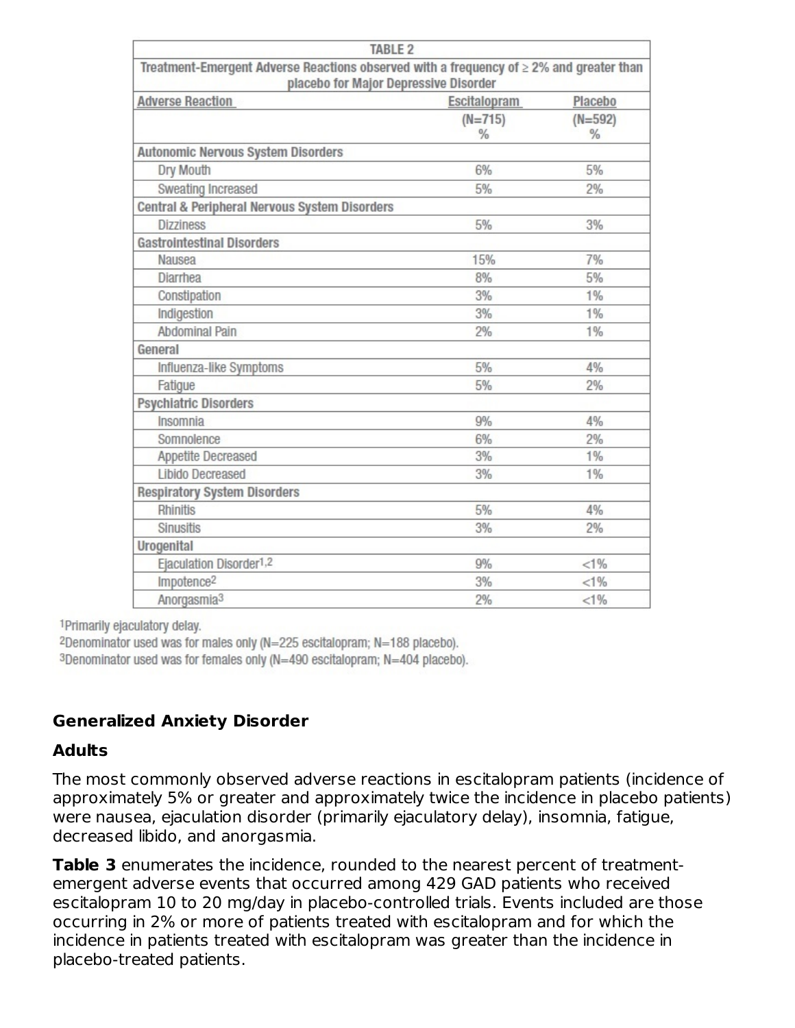| <b>TABLE 2</b>                                                                                                                   |                            |                            |  |  |  |
|----------------------------------------------------------------------------------------------------------------------------------|----------------------------|----------------------------|--|--|--|
| Treatment-Emergent Adverse Reactions observed with a frequency of ≥ 2% and greater than<br>placebo for Major Depressive Disorder |                            |                            |  |  |  |
| <b>Adverse Reaction</b>                                                                                                          | Placebo<br>Escitalopram    |                            |  |  |  |
|                                                                                                                                  | $(N=715)$<br>$\frac{9}{6}$ | $(N=592)$<br>$\frac{9}{6}$ |  |  |  |
| <b>Autonomic Nervous System Disorders</b>                                                                                        |                            |                            |  |  |  |
| Dry Mouth                                                                                                                        | 6%                         | 5%                         |  |  |  |
| Sweating Increased                                                                                                               | 5%                         | 2%                         |  |  |  |
| Central & Peripheral Nervous System Disorders                                                                                    |                            |                            |  |  |  |
| <b>Dizziness</b>                                                                                                                 | 5%                         | 3%                         |  |  |  |
| <b>Gastrointestinal Disorders</b>                                                                                                |                            |                            |  |  |  |
| Nausea                                                                                                                           | 15%                        | 7%                         |  |  |  |
| <b>Diarrhea</b>                                                                                                                  | 8%                         | 5%                         |  |  |  |
| Constipation                                                                                                                     | 3%                         | 1%                         |  |  |  |
| Indigestion                                                                                                                      | 3%                         | 1%                         |  |  |  |
| <b>Abdominal Pain</b>                                                                                                            | 2%                         | 1%                         |  |  |  |
| General                                                                                                                          |                            |                            |  |  |  |
| Influenza-like Symptoms                                                                                                          | 5%                         | 4%                         |  |  |  |
| Fatigue                                                                                                                          | 5%                         | 2%                         |  |  |  |
| <b>Psychiatric Disorders</b>                                                                                                     |                            |                            |  |  |  |
| Insomnia                                                                                                                         | 9%                         | 4%                         |  |  |  |
| Somnolence                                                                                                                       | 6%                         | 2%                         |  |  |  |
| Appetite Decreased                                                                                                               | 3%                         | 1%                         |  |  |  |
| <b>Libido Decreased</b>                                                                                                          | 3%                         | 1%                         |  |  |  |
| <b>Respiratory System Disorders</b>                                                                                              |                            |                            |  |  |  |
| <b>Rhinitis</b>                                                                                                                  | 5%                         | 4%                         |  |  |  |
| Sinusitis                                                                                                                        | 3%                         | 2%                         |  |  |  |
| Urogenital                                                                                                                       |                            |                            |  |  |  |
| Ejaculation Disorder <sup>1,2</sup>                                                                                              | 9%                         | $< 1\%$                    |  |  |  |
| Impotence <sup>2</sup>                                                                                                           | 3%                         | $< 1\%$                    |  |  |  |
| Anorgasmia3                                                                                                                      | 2%                         | $< 1\%$                    |  |  |  |

1Primarily ejaculatory delay.

2Denominator used was for males only (N=225 escitalopram; N=188 placebo).

3Denominator used was for females only (N=490 escitalopram; N=404 placebo).

#### **Generalized Anxiety Disorder**

#### **Adults**

The most commonly observed adverse reactions in escitalopram patients (incidence of approximately 5% or greater and approximately twice the incidence in placebo patients) were nausea, ejaculation disorder (primarily ejaculatory delay), insomnia, fatigue, decreased libido, and anorgasmia.

**Table 3** enumerates the incidence, rounded to the nearest percent of treatmentemergent adverse events that occurred among 429 GAD patients who received escitalopram 10 to 20 mg/day in placebo-controlled trials. Events included are those occurring in 2% or more of patients treated with escitalopram and for which the incidence in patients treated with escitalopram was greater than the incidence in placebo-treated patients.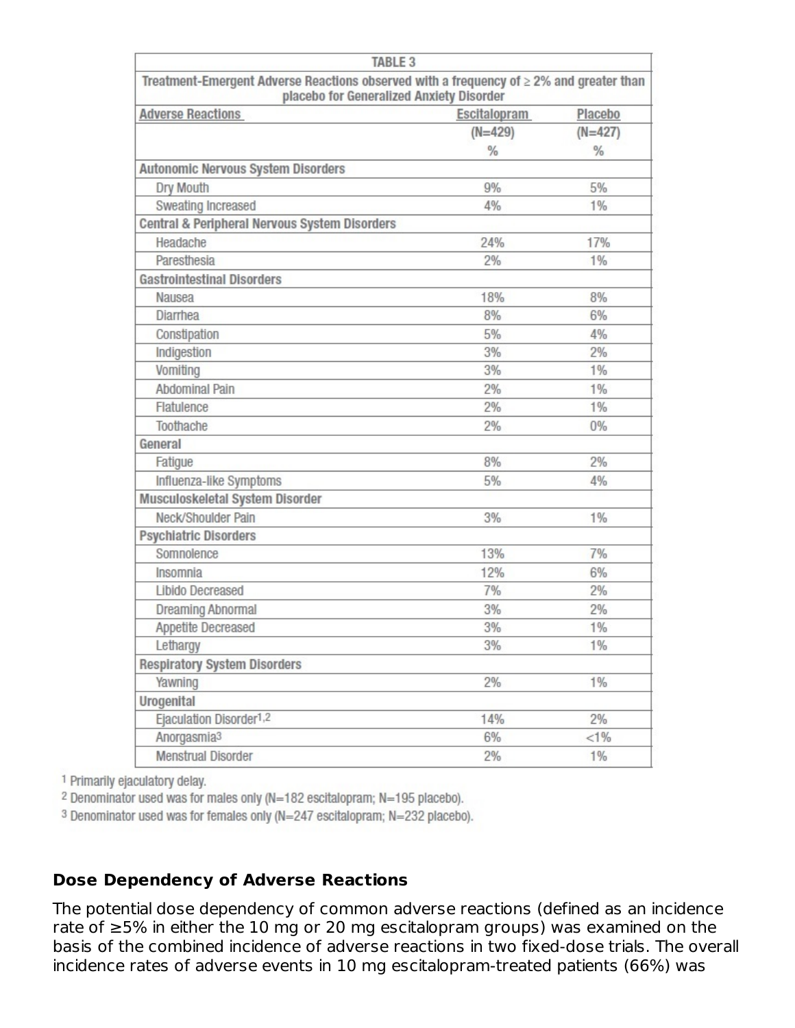| <b>TABLE 3</b>                                                                                                                      |              |           |
|-------------------------------------------------------------------------------------------------------------------------------------|--------------|-----------|
| Treatment-Emergent Adverse Reactions observed with a frequency of ≥ 2% and greater than<br>placebo for Generalized Anxiety Disorder |              |           |
| <b>Adverse Reactions</b>                                                                                                            | Escitalopram | Placebo   |
|                                                                                                                                     | $(N=429)$    | $(N=427)$ |
|                                                                                                                                     | %            | %         |
| <b>Autonomic Nervous System Disorders</b>                                                                                           |              |           |
| Dry Mouth                                                                                                                           | 9%           | 5%        |
| Sweating Increased                                                                                                                  | 4%           | 1%        |
| Central & Peripheral Nervous System Disorders                                                                                       |              |           |
| Headache                                                                                                                            | 24%          | 17%       |
| Paresthesia                                                                                                                         | 2%           | 1%        |
| <b>Gastrointestinal Disorders</b>                                                                                                   |              |           |
| Nausea                                                                                                                              | 18%          | 8%        |
| <b>Diarrhea</b>                                                                                                                     | 8%           | 6%        |
| Constipation                                                                                                                        | 5%           | 4%        |
| Indigestion                                                                                                                         | 3%           | 2%        |
| Vomiting                                                                                                                            | 3%           | 1%        |
| <b>Abdominal Pain</b>                                                                                                               | 2%           | 1%        |
| Flatulence                                                                                                                          | 2%           | 1%        |
| Toothache                                                                                                                           | 2%           | 0%        |
| General                                                                                                                             |              |           |
| Fatigue                                                                                                                             | 8%           | 2%        |
| Influenza-like Symptoms                                                                                                             | 5%           | 4%        |
| Musculoskeletal System Disorder                                                                                                     |              |           |
| Neck/Shoulder Pain                                                                                                                  | 3%           | 1%        |
| <b>Psychiatric Disorders</b>                                                                                                        |              |           |
| Somnolence                                                                                                                          | 13%          | 7%        |
| Insomnia                                                                                                                            | 12%          | 6%        |
| Libido Decreased                                                                                                                    | 7%           | 2%        |
| <b>Dreaming Abnormal</b>                                                                                                            | 3%           | 2%        |
| Appetite Decreased                                                                                                                  | 3%           | 1%        |
| Lethargy                                                                                                                            | 3%           | 1%        |
| <b>Respiratory System Disorders</b>                                                                                                 |              |           |
| Yawning                                                                                                                             | 2%           | 1%        |
| Urogenital                                                                                                                          |              |           |
| Ejaculation Disorder <sup>1,2</sup>                                                                                                 | 14%          | 2%        |
| Anorgasmia3                                                                                                                         | 6%           | $< 1\%$   |
| <b>Menstrual Disorder</b>                                                                                                           | 2%           | 1%        |

<sup>1</sup> Primarily ejaculatory delay.

2 Denominator used was for males only (N=182 escitalopram; N=195 placebo).

3 Denominator used was for females only (N=247 escitalopram; N=232 placebo).

#### **Dose Dependency of Adverse Reactions**

The potential dose dependency of common adverse reactions (defined as an incidence rate of ≥5% in either the 10 mg or 20 mg escitalopram groups) was examined on the basis of the combined incidence of adverse reactions in two fixed-dose trials. The overall incidence rates of adverse events in 10 mg escitalopram-treated patients (66%) was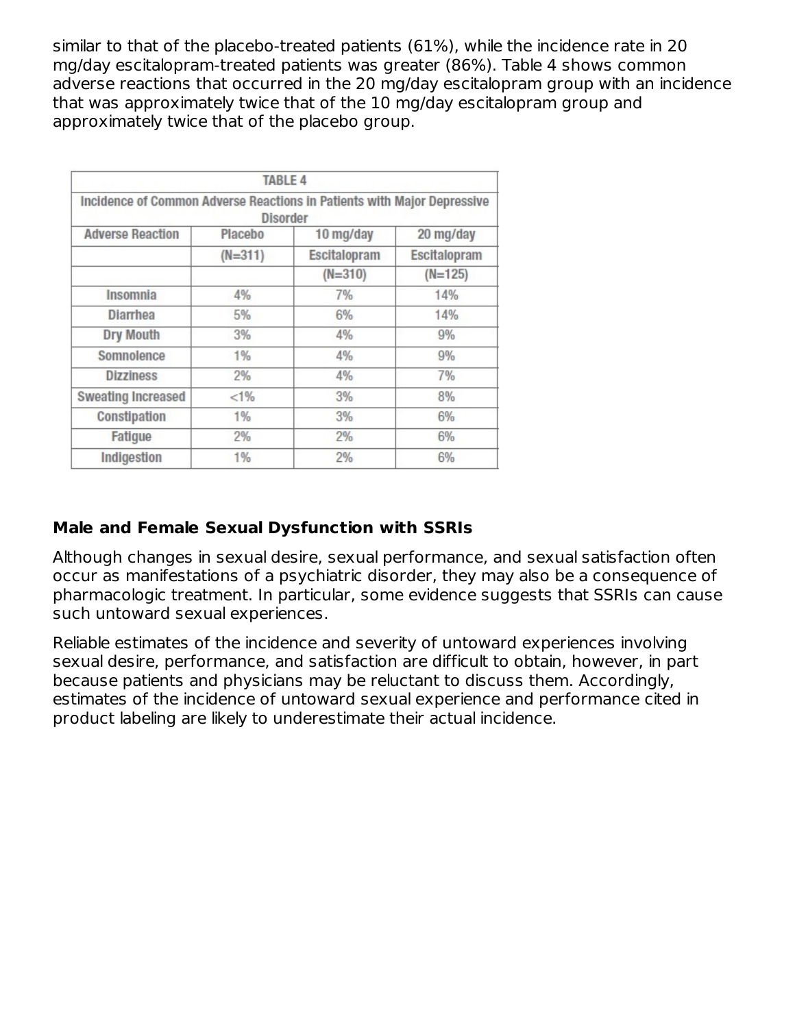similar to that of the placebo-treated patients (61%), while the incidence rate in 20 mg/day escitalopram-treated patients was greater (86%). Table 4 shows common adverse reactions that occurred in the 20 mg/day escitalopram group with an incidence that was approximately twice that of the 10 mg/day escitalopram group and approximately twice that of the placebo group.

| <b>TABLE 4</b>                                                                             |           |              |              |  |
|--------------------------------------------------------------------------------------------|-----------|--------------|--------------|--|
| Incidence of Common Adverse Reactions in Patients with Major Depressive<br><b>Disorder</b> |           |              |              |  |
| <b>Adverse Reaction</b><br>Placebo<br>20 mg/day<br>10 mg/day                               |           |              |              |  |
|                                                                                            | $(N=311)$ | Escitalopram | Escitalopram |  |
|                                                                                            |           | $(N=310)$    | $(N=125)$    |  |
| Insomnia                                                                                   | 4%        | 7%           | 14%          |  |
| <b>Diarrhea</b>                                                                            | 5%        | 6%           | 14%          |  |
| <b>Dry Mouth</b>                                                                           | 3%        | 4%           | 9%           |  |
| Somnolence                                                                                 | 1%        | 4%           | 9%           |  |
| <b>Dizziness</b>                                                                           | 2%        | 4%           | 7%           |  |
| <b>Sweating Increased</b>                                                                  | $< 1\%$   | 3%           | 8%           |  |
| Constipation                                                                               | 1%        | 3%           | 6%           |  |
| Fatigue                                                                                    | 2%        | 2%           | 6%           |  |
| Indigestion                                                                                | 1%        | 2%           | 6%           |  |

#### **Male and Female Sexual Dysfunction with SSRIs**

Although changes in sexual desire, sexual performance, and sexual satisfaction often occur as manifestations of a psychiatric disorder, they may also be a consequence of pharmacologic treatment. In particular, some evidence suggests that SSRIs can cause such untoward sexual experiences.

Reliable estimates of the incidence and severity of untoward experiences involving sexual desire, performance, and satisfaction are difficult to obtain, however, in part because patients and physicians may be reluctant to discuss them. Accordingly, estimates of the incidence of untoward sexual experience and performance cited in product labeling are likely to underestimate their actual incidence.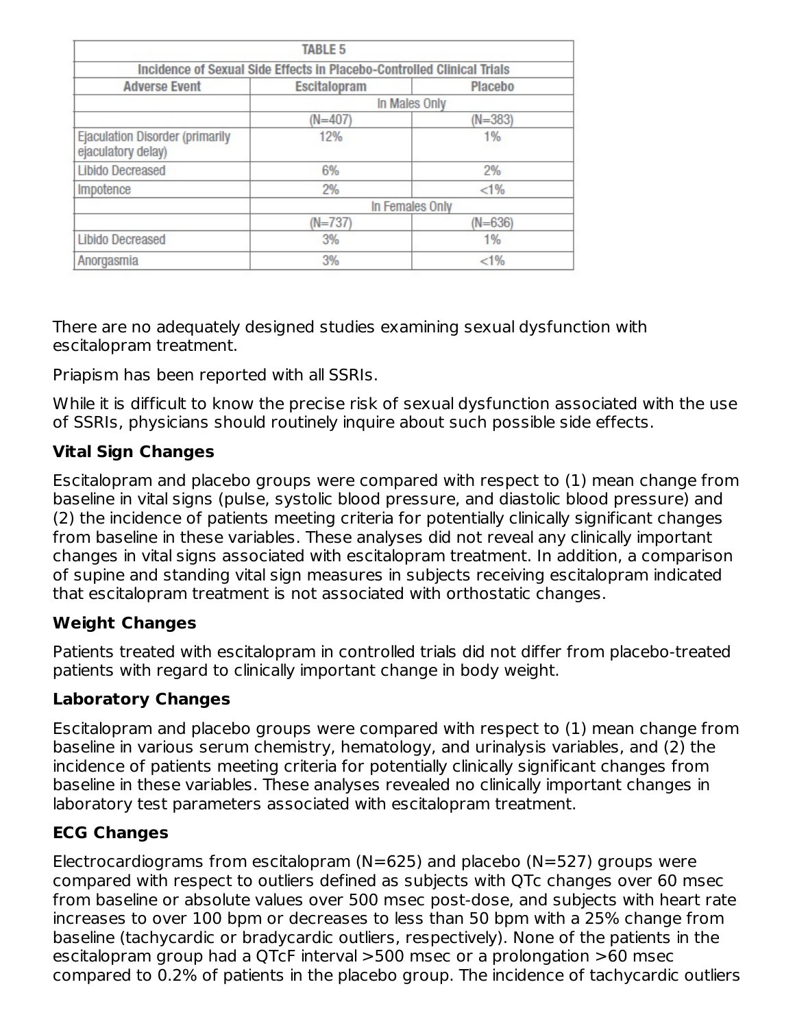|                                                              | <b>TABLE 5</b>                                                         |           |  |
|--------------------------------------------------------------|------------------------------------------------------------------------|-----------|--|
|                                                              | Incidence of Sexual Side Effects in Placebo-Controlled Clinical Trials |           |  |
| <b>Adverse Event</b>                                         | <b>Escitalopram</b>                                                    | Placebo   |  |
|                                                              | In Males Only                                                          |           |  |
|                                                              | $(N=407)$                                                              | $(N=383)$ |  |
| <b>Ejaculation Disorder (primarily</b><br>ejaculatory delay) | 12%                                                                    | $1\%$     |  |
| <b>Libido Decreased</b>                                      | 6%                                                                     | 2%        |  |
| Impotence                                                    | 2%                                                                     | <1%       |  |
|                                                              | In Females Only                                                        |           |  |
|                                                              | (N=737)                                                                | $(N=636)$ |  |
| <b>Libido Decreased</b>                                      | 3%                                                                     | 1%        |  |
| Anorgasmia                                                   | 3%                                                                     | $< 1\%$   |  |

There are no adequately designed studies examining sexual dysfunction with escitalopram treatment.

Priapism has been reported with all SSRIs.

While it is difficult to know the precise risk of sexual dysfunction associated with the use of SSRIs, physicians should routinely inquire about such possible side effects.

### **Vital Sign Changes**

Escitalopram and placebo groups were compared with respect to (1) mean change from baseline in vital signs (pulse, systolic blood pressure, and diastolic blood pressure) and (2) the incidence of patients meeting criteria for potentially clinically significant changes from baseline in these variables. These analyses did not reveal any clinically important changes in vital signs associated with escitalopram treatment. In addition, a comparison of supine and standing vital sign measures in subjects receiving escitalopram indicated that escitalopram treatment is not associated with orthostatic changes.

# **Weight Changes**

Patients treated with escitalopram in controlled trials did not differ from placebo-treated patients with regard to clinically important change in body weight.

#### **Laboratory Changes**

Escitalopram and placebo groups were compared with respect to (1) mean change from baseline in various serum chemistry, hematology, and urinalysis variables, and (2) the incidence of patients meeting criteria for potentially clinically significant changes from baseline in these variables. These analyses revealed no clinically important changes in laboratory test parameters associated with escitalopram treatment.

# **ECG Changes**

Electrocardiograms from escitalopram (N=625) and placebo (N=527) groups were compared with respect to outliers defined as subjects with QTc changes over 60 msec from baseline or absolute values over 500 msec post-dose, and subjects with heart rate increases to over 100 bpm or decreases to less than 50 bpm with a 25% change from baseline (tachycardic or bradycardic outliers, respectively). None of the patients in the escitalopram group had a QTcF interval >500 msec or a prolongation >60 msec compared to 0.2% of patients in the placebo group. The incidence of tachycardic outliers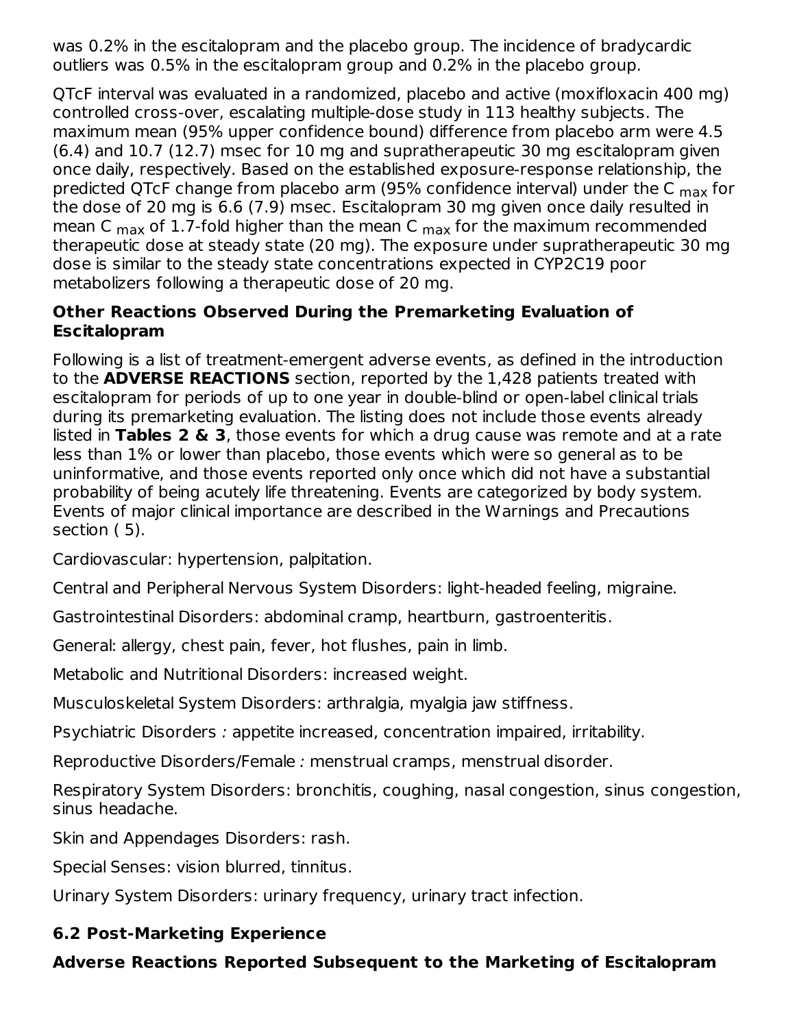was 0.2% in the escitalopram and the placebo group. The incidence of bradycardic outliers was 0.5% in the escitalopram group and 0.2% in the placebo group.

QTcF interval was evaluated in a randomized, placebo and active (moxifloxacin 400 mg) controlled cross-over, escalating multiple-dose study in 113 healthy subjects. The maximum mean (95% upper confidence bound) difference from placebo arm were 4.5 (6.4) and 10.7 (12.7) msec for 10 mg and supratherapeutic 30 mg escitalopram given once daily, respectively. Based on the established exposure-response relationship, the predicted QTcF change from placebo arm (95% confidence interval) under the C <sub>max</sub> for the dose of 20 mg is 6.6 (7.9) msec. Escitalopram 30 mg given once daily resulted in mean C  $_{\text{max}}$  of 1.7-fold higher than the mean C  $_{\text{max}}$  for the maximum recommended therapeutic dose at steady state (20 mg). The exposure under supratherapeutic 30 mg dose is similar to the steady state concentrations expected in CYP2C19 poor metabolizers following a therapeutic dose of 20 mg.

#### **Other Reactions Observed During the Premarketing Evaluation of Escitalopram**

Following is a list of treatment-emergent adverse events, as defined in the introduction to the **ADVERSE REACTIONS** section, reported by the 1,428 patients treated with escitalopram for periods of up to one year in double-blind or open-label clinical trials during its premarketing evaluation. The listing does not include those events already listed in **Tables 2 & 3**, those events for which a drug cause was remote and at a rate less than 1% or lower than placebo, those events which were so general as to be uninformative, and those events reported only once which did not have a substantial probability of being acutely life threatening. Events are categorized by body system. Events of major clinical importance are described in the Warnings and Precautions section ( 5).

Cardiovascular: hypertension, palpitation.

Central and Peripheral Nervous System Disorders: light-headed feeling, migraine.

Gastrointestinal Disorders: abdominal cramp, heartburn, gastroenteritis.

General: allergy, chest pain, fever, hot flushes, pain in limb.

Metabolic and Nutritional Disorders: increased weight.

Musculoskeletal System Disorders: arthralgia, myalgia jaw stiffness.

Psychiatric Disorders : appetite increased, concentration impaired, irritability.

Reproductive Disorders/Female : menstrual cramps, menstrual disorder.

Respiratory System Disorders: bronchitis, coughing, nasal congestion, sinus congestion, sinus headache.

Skin and Appendages Disorders: rash.

Special Senses: vision blurred, tinnitus.

Urinary System Disorders: urinary frequency, urinary tract infection.

#### **6.2 Post-Marketing Experience**

# **Adverse Reactions Reported Subsequent to the Marketing of Escitalopram**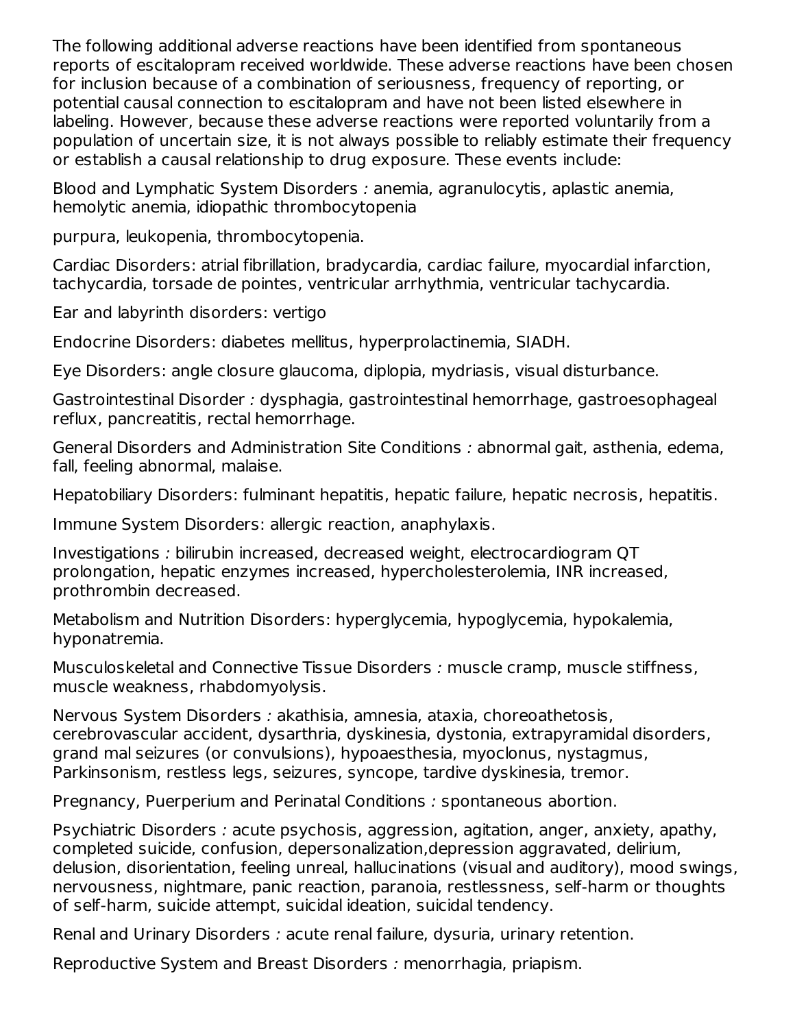The following additional adverse reactions have been identified from spontaneous reports of escitalopram received worldwide. These adverse reactions have been chosen for inclusion because of a combination of seriousness, frequency of reporting, or potential causal connection to escitalopram and have not been listed elsewhere in labeling. However, because these adverse reactions were reported voluntarily from a population of uncertain size, it is not always possible to reliably estimate their frequency or establish a causal relationship to drug exposure. These events include:

Blood and Lymphatic System Disorders : anemia, agranulocytis, aplastic anemia, hemolytic anemia, idiopathic thrombocytopenia

purpura, leukopenia, thrombocytopenia.

Cardiac Disorders: atrial fibrillation, bradycardia, cardiac failure, myocardial infarction, tachycardia, torsade de pointes, ventricular arrhythmia, ventricular tachycardia.

Ear and labyrinth disorders: vertigo

Endocrine Disorders: diabetes mellitus, hyperprolactinemia, SIADH.

Eye Disorders: angle closure glaucoma, diplopia, mydriasis, visual disturbance.

Gastrointestinal Disorder : dysphagia, gastrointestinal hemorrhage, gastroesophageal reflux, pancreatitis, rectal hemorrhage.

General Disorders and Administration Site Conditions : abnormal gait, asthenia, edema, fall, feeling abnormal, malaise.

Hepatobiliary Disorders: fulminant hepatitis, hepatic failure, hepatic necrosis, hepatitis.

Immune System Disorders: allergic reaction, anaphylaxis.

Investigations : bilirubin increased, decreased weight, electrocardiogram QT prolongation, hepatic enzymes increased, hypercholesterolemia, INR increased, prothrombin decreased.

Metabolism and Nutrition Disorders: hyperglycemia, hypoglycemia, hypokalemia, hyponatremia.

Musculoskeletal and Connective Tissue Disorders : muscle cramp, muscle stiffness, muscle weakness, rhabdomyolysis.

Nervous System Disorders : akathisia, amnesia, ataxia, choreoathetosis, cerebrovascular accident, dysarthria, dyskinesia, dystonia, extrapyramidal disorders, grand mal seizures (or convulsions), hypoaesthesia, myoclonus, nystagmus, Parkinsonism, restless legs, seizures, syncope, tardive dyskinesia, tremor.

Pregnancy, Puerperium and Perinatal Conditions : spontaneous abortion.

Psychiatric Disorders : acute psychosis, aggression, agitation, anger, anxiety, apathy, completed suicide, confusion, depersonalization,depression aggravated, delirium, delusion, disorientation, feeling unreal, hallucinations (visual and auditory), mood swings, nervousness, nightmare, panic reaction, paranoia, restlessness, self-harm or thoughts of self-harm, suicide attempt, suicidal ideation, suicidal tendency.

Renal and Urinary Disorders : acute renal failure, dysuria, urinary retention.

Reproductive System and Breast Disorders : menorrhagia, priapism.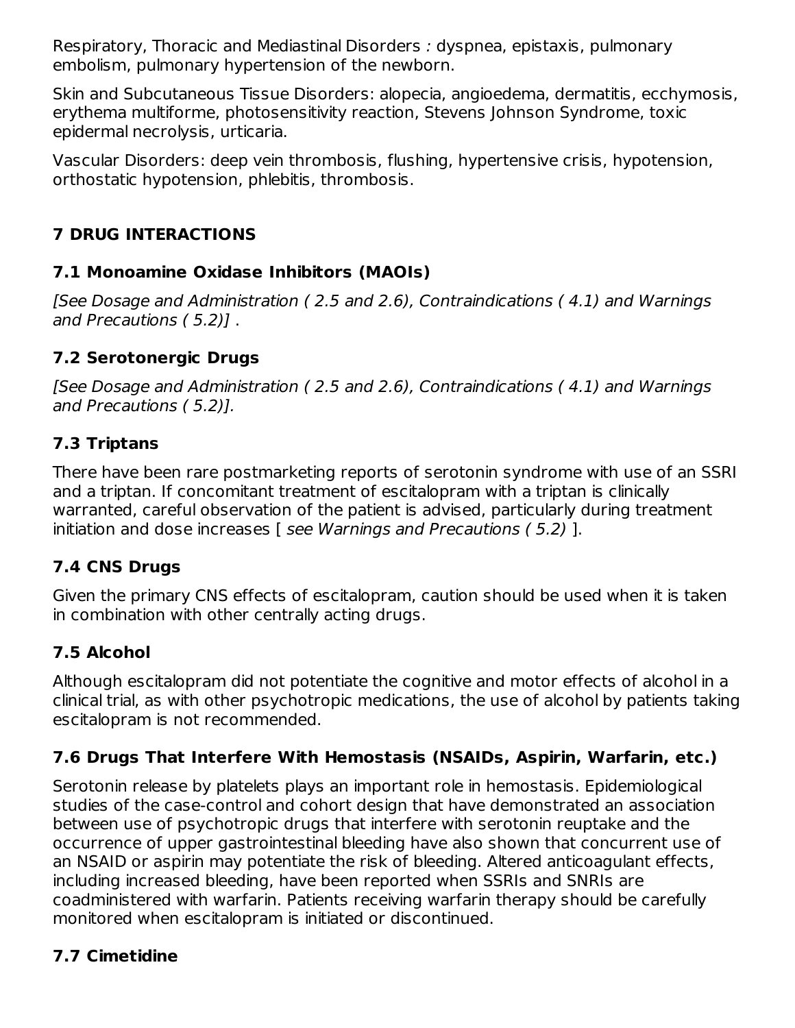Respiratory, Thoracic and Mediastinal Disorders : dyspnea, epistaxis, pulmonary embolism, pulmonary hypertension of the newborn.

Skin and Subcutaneous Tissue Disorders: alopecia, angioedema, dermatitis, ecchymosis, erythema multiforme, photosensitivity reaction, Stevens Johnson Syndrome, toxic epidermal necrolysis, urticaria.

Vascular Disorders: deep vein thrombosis, flushing, hypertensive crisis, hypotension, orthostatic hypotension, phlebitis, thrombosis.

# **7 DRUG INTERACTIONS**

### **7.1 Monoamine Oxidase Inhibitors (MAOIs)**

[See Dosage and Administration ( 2.5 and 2.6), Contraindications ( 4.1) and Warnings and Precautions ( 5.2)] .

### **7.2 Serotonergic Drugs**

[See Dosage and Administration ( 2.5 and 2.6), Contraindications ( 4.1) and Warnings and Precautions ( 5.2)].

### **7.3 Triptans**

There have been rare postmarketing reports of serotonin syndrome with use of an SSRI and a triptan. If concomitant treatment of escitalopram with a triptan is clinically warranted, careful observation of the patient is advised, particularly during treatment initiation and dose increases [ see Warnings and Precautions ( 5.2) ].

# **7.4 CNS Drugs**

Given the primary CNS effects of escitalopram, caution should be used when it is taken in combination with other centrally acting drugs.

# **7.5 Alcohol**

Although escitalopram did not potentiate the cognitive and motor effects of alcohol in a clinical trial, as with other psychotropic medications, the use of alcohol by patients taking escitalopram is not recommended.

# **7.6 Drugs That Interfere With Hemostasis (NSAIDs, Aspirin, Warfarin, etc.)**

Serotonin release by platelets plays an important role in hemostasis. Epidemiological studies of the case-control and cohort design that have demonstrated an association between use of psychotropic drugs that interfere with serotonin reuptake and the occurrence of upper gastrointestinal bleeding have also shown that concurrent use of an NSAID or aspirin may potentiate the risk of bleeding. Altered anticoagulant effects, including increased bleeding, have been reported when SSRIs and SNRIs are coadministered with warfarin. Patients receiving warfarin therapy should be carefully monitored when escitalopram is initiated or discontinued.

# **7.7 Cimetidine**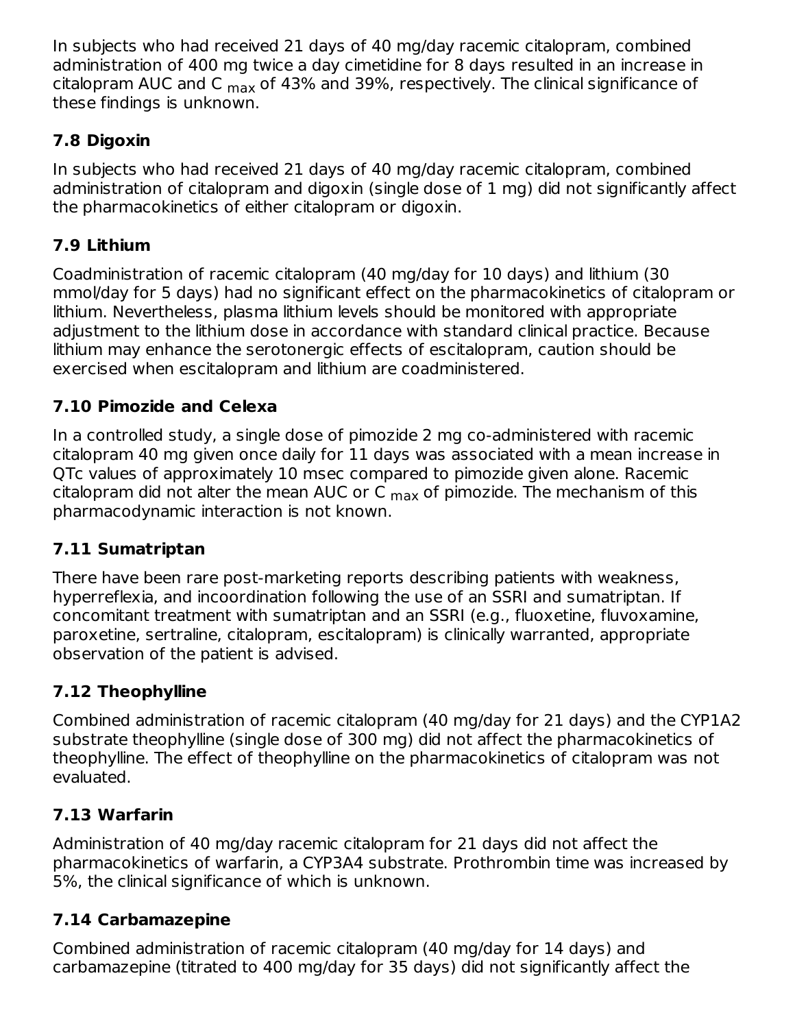In subjects who had received 21 days of 40 mg/day racemic citalopram, combined administration of 400 mg twice a day cimetidine for 8 days resulted in an increase in citalopram AUC and C <sub>max</sub> of 43% and 39%, respectively. The clinical significance of these findings is unknown.

# **7.8 Digoxin**

In subjects who had received 21 days of 40 mg/day racemic citalopram, combined administration of citalopram and digoxin (single dose of 1 mg) did not significantly affect the pharmacokinetics of either citalopram or digoxin.

### **7.9 Lithium**

Coadministration of racemic citalopram (40 mg/day for 10 days) and lithium (30 mmol/day for 5 days) had no significant effect on the pharmacokinetics of citalopram or lithium. Nevertheless, plasma lithium levels should be monitored with appropriate adjustment to the lithium dose in accordance with standard clinical practice. Because lithium may enhance the serotonergic effects of escitalopram, caution should be exercised when escitalopram and lithium are coadministered.

# **7.10 Pimozide and Celexa**

In a controlled study, a single dose of pimozide 2 mg co-administered with racemic citalopram 40 mg given once daily for 11 days was associated with a mean increase in QTc values of approximately 10 msec compared to pimozide given alone. Racemic citalopram did not alter the mean AUC or C  $_{\sf max}$  of pimozide. The mechanism of this pharmacodynamic interaction is not known.

#### **7.11 Sumatriptan**

There have been rare post-marketing reports describing patients with weakness, hyperreflexia, and incoordination following the use of an SSRI and sumatriptan. If concomitant treatment with sumatriptan and an SSRI (e.g., fluoxetine, fluvoxamine, paroxetine, sertraline, citalopram, escitalopram) is clinically warranted, appropriate observation of the patient is advised.

# **7.12 Theophylline**

Combined administration of racemic citalopram (40 mg/day for 21 days) and the CYP1A2 substrate theophylline (single dose of 300 mg) did not affect the pharmacokinetics of theophylline. The effect of theophylline on the pharmacokinetics of citalopram was not evaluated.

#### **7.13 Warfarin**

Administration of 40 mg/day racemic citalopram for 21 days did not affect the pharmacokinetics of warfarin, a CYP3A4 substrate. Prothrombin time was increased by 5%, the clinical significance of which is unknown.

#### **7.14 Carbamazepine**

Combined administration of racemic citalopram (40 mg/day for 14 days) and carbamazepine (titrated to 400 mg/day for 35 days) did not significantly affect the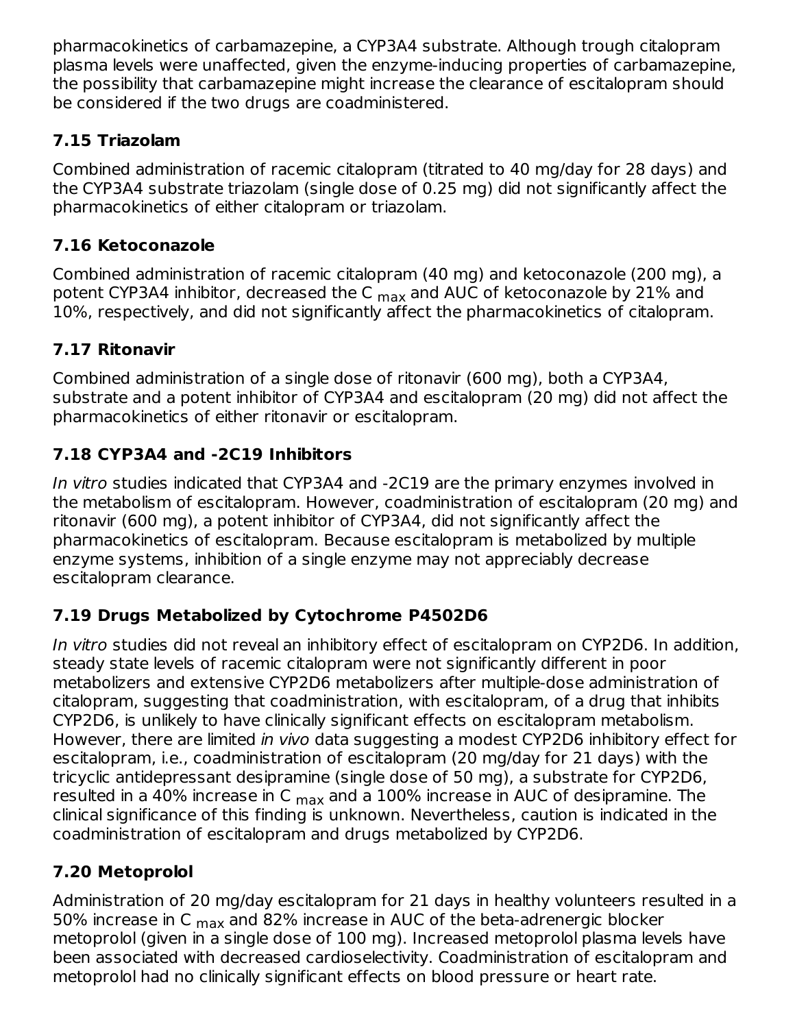pharmacokinetics of carbamazepine, a CYP3A4 substrate. Although trough citalopram plasma levels were unaffected, given the enzyme-inducing properties of carbamazepine, the possibility that carbamazepine might increase the clearance of escitalopram should be considered if the two drugs are coadministered.

# **7.15 Triazolam**

Combined administration of racemic citalopram (titrated to 40 mg/day for 28 days) and the CYP3A4 substrate triazolam (single dose of 0.25 mg) did not significantly affect the pharmacokinetics of either citalopram or triazolam.

# **7.16 Ketoconazole**

Combined administration of racemic citalopram (40 mg) and ketoconazole (200 mg), a potent CYP3A4 inhibitor, decreased the C <sub>max</sub> and AUC of ketoconazole by 21% and 10%, respectively, and did not significantly affect the pharmacokinetics of citalopram.

# **7.17 Ritonavir**

Combined administration of a single dose of ritonavir (600 mg), both a CYP3A4, substrate and a potent inhibitor of CYP3A4 and escitalopram (20 mg) did not affect the pharmacokinetics of either ritonavir or escitalopram.

# **7.18 CYP3A4 and -2C19 Inhibitors**

In vitro studies indicated that CYP3A4 and -2C19 are the primary enzymes involved in the metabolism of escitalopram. However, coadministration of escitalopram (20 mg) and ritonavir (600 mg), a potent inhibitor of CYP3A4, did not significantly affect the pharmacokinetics of escitalopram. Because escitalopram is metabolized by multiple enzyme systems, inhibition of a single enzyme may not appreciably decrease escitalopram clearance.

# **7.19 Drugs Metabolized by Cytochrome P4502D6**

In vitro studies did not reveal an inhibitory effect of escitalopram on CYP2D6. In addition, steady state levels of racemic citalopram were not significantly different in poor metabolizers and extensive CYP2D6 metabolizers after multiple-dose administration of citalopram, suggesting that coadministration, with escitalopram, of a drug that inhibits CYP2D6, is unlikely to have clinically significant effects on escitalopram metabolism. However, there are limited in vivo data suggesting a modest CYP2D6 inhibitory effect for escitalopram, i.e., coadministration of escitalopram (20 mg/day for 21 days) with the tricyclic antidepressant desipramine (single dose of 50 mg), a substrate for CYP2D6, resulted in a 40% increase in C  $_{\sf max}$  and a 100% increase in AUC of desipramine. The clinical significance of this finding is unknown. Nevertheless, caution is indicated in the coadministration of escitalopram and drugs metabolized by CYP2D6.

# **7.20 Metoprolol**

Administration of 20 mg/day escitalopram for 21 days in healthy volunteers resulted in a 50% increase in C  $_{\sf max}$  and 82% increase in AUC of the beta-adrenergic blocker metoprolol (given in a single dose of 100 mg). Increased metoprolol plasma levels have been associated with decreased cardioselectivity. Coadministration of escitalopram and metoprolol had no clinically significant effects on blood pressure or heart rate.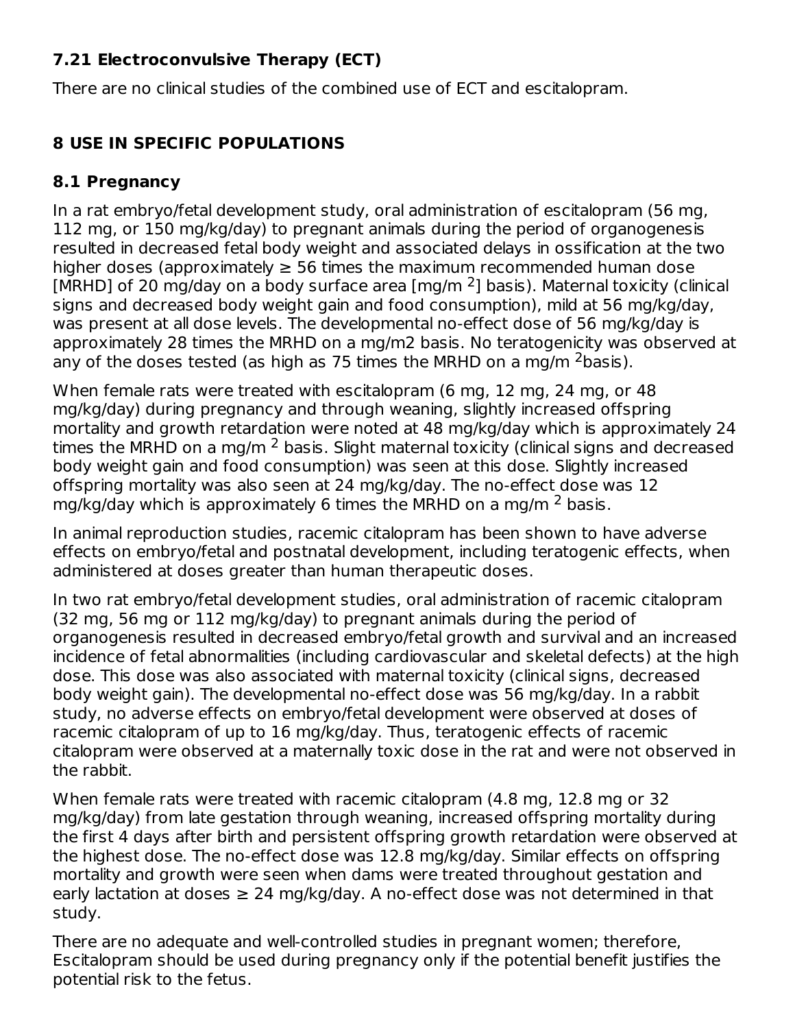# **7.21 Electroconvulsive Therapy (ECT)**

There are no clinical studies of the combined use of ECT and escitalopram.

# **8 USE IN SPECIFIC POPULATIONS**

#### **8.1 Pregnancy**

In a rat embryo/fetal development study, oral administration of escitalopram (56 mg, 112 mg, or 150 mg/kg/day) to pregnant animals during the period of organogenesis resulted in decreased fetal body weight and associated delays in ossification at the two higher doses (approximately  $\geq$  56 times the maximum recommended human dose [MRHD] of 20 mg/day on a body surface area [mg/m  $2$ ] basis). Maternal toxicity (clinical signs and decreased body weight gain and food consumption), mild at 56 mg/kg/day, was present at all dose levels. The developmental no-effect dose of 56 mg/kg/day is approximately 28 times the MRHD on a mg/m2 basis. No teratogenicity was observed at any of the doses tested (as high as 75 times the MRHD on a mg/m  $^2$ basis).

When female rats were treated with escitalopram (6 mg, 12 mg, 24 mg, or 48 mg/kg/day) during pregnancy and through weaning, slightly increased offspring mortality and growth retardation were noted at 48 mg/kg/day which is approximately 24 times the MRHD on a mg/m  $^2$  basis. Slight maternal toxicity (clinical signs and decreased body weight gain and food consumption) was seen at this dose. Slightly increased offspring mortality was also seen at 24 mg/kg/day. The no-effect dose was 12 mg/kg/day which is approximately 6 times the MRHD on a mg/m  $^2$  basis.

In animal reproduction studies, racemic citalopram has been shown to have adverse effects on embryo/fetal and postnatal development, including teratogenic effects, when administered at doses greater than human therapeutic doses.

In two rat embryo/fetal development studies, oral administration of racemic citalopram (32 mg, 56 mg or 112 mg/kg/day) to pregnant animals during the period of organogenesis resulted in decreased embryo/fetal growth and survival and an increased incidence of fetal abnormalities (including cardiovascular and skeletal defects) at the high dose. This dose was also associated with maternal toxicity (clinical signs, decreased body weight gain). The developmental no-effect dose was 56 mg/kg/day. In a rabbit study, no adverse effects on embryo/fetal development were observed at doses of racemic citalopram of up to 16 mg/kg/day. Thus, teratogenic effects of racemic citalopram were observed at a maternally toxic dose in the rat and were not observed in the rabbit.

When female rats were treated with racemic citalopram (4.8 mg, 12.8 mg or 32 mg/kg/day) from late gestation through weaning, increased offspring mortality during the first 4 days after birth and persistent offspring growth retardation were observed at the highest dose. The no-effect dose was 12.8 mg/kg/day. Similar effects on offspring mortality and growth were seen when dams were treated throughout gestation and early lactation at doses  $\geq 24$  mg/kg/day. A no-effect dose was not determined in that study.

There are no adequate and well-controlled studies in pregnant women; therefore, Escitalopram should be used during pregnancy only if the potential benefit justifies the potential risk to the fetus.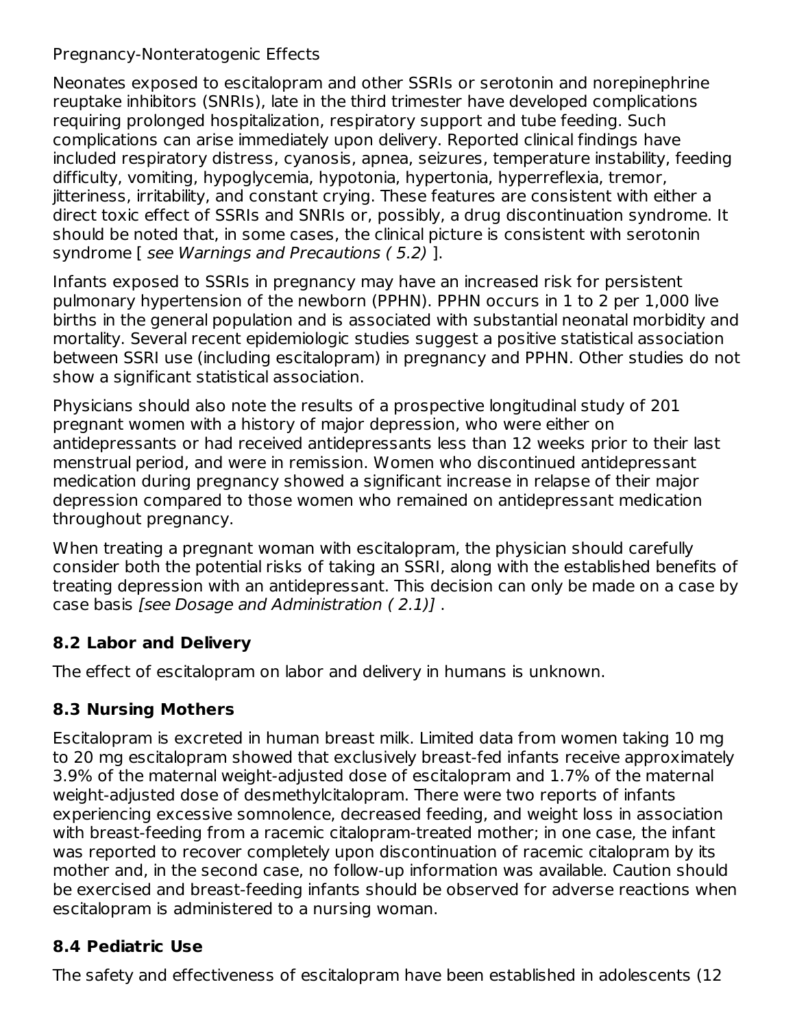#### Pregnancy-Nonteratogenic Effects

Neonates exposed to escitalopram and other SSRIs or serotonin and norepinephrine reuptake inhibitors (SNRIs), late in the third trimester have developed complications requiring prolonged hospitalization, respiratory support and tube feeding. Such complications can arise immediately upon delivery. Reported clinical findings have included respiratory distress, cyanosis, apnea, seizures, temperature instability, feeding difficulty, vomiting, hypoglycemia, hypotonia, hypertonia, hyperreflexia, tremor, jitteriness, irritability, and constant crying. These features are consistent with either a direct toxic effect of SSRIs and SNRIs or, possibly, a drug discontinuation syndrome. It should be noted that, in some cases, the clinical picture is consistent with serotonin syndrome [ see Warnings and Precautions ( 5.2) ].

Infants exposed to SSRIs in pregnancy may have an increased risk for persistent pulmonary hypertension of the newborn (PPHN). PPHN occurs in 1 to 2 per 1,000 live births in the general population and is associated with substantial neonatal morbidity and mortality. Several recent epidemiologic studies suggest a positive statistical association between SSRI use (including escitalopram) in pregnancy and PPHN. Other studies do not show a significant statistical association.

Physicians should also note the results of a prospective longitudinal study of 201 pregnant women with a history of major depression, who were either on antidepressants or had received antidepressants less than 12 weeks prior to their last menstrual period, and were in remission. Women who discontinued antidepressant medication during pregnancy showed a significant increase in relapse of their major depression compared to those women who remained on antidepressant medication throughout pregnancy.

When treating a pregnant woman with escitalopram, the physician should carefully consider both the potential risks of taking an SSRI, along with the established benefits of treating depression with an antidepressant. This decision can only be made on a case by case basis [see Dosage and Administration ( 2.1)] .

#### **8.2 Labor and Delivery**

The effect of escitalopram on labor and delivery in humans is unknown.

# **8.3 Nursing Mothers**

Escitalopram is excreted in human breast milk. Limited data from women taking 10 mg to 20 mg escitalopram showed that exclusively breast-fed infants receive approximately 3.9% of the maternal weight-adjusted dose of escitalopram and 1.7% of the maternal weight-adjusted dose of desmethylcitalopram. There were two reports of infants experiencing excessive somnolence, decreased feeding, and weight loss in association with breast-feeding from a racemic citalopram-treated mother; in one case, the infant was reported to recover completely upon discontinuation of racemic citalopram by its mother and, in the second case, no follow-up information was available. Caution should be exercised and breast-feeding infants should be observed for adverse reactions when escitalopram is administered to a nursing woman.

# **8.4 Pediatric Use**

The safety and effectiveness of escitalopram have been established in adolescents (12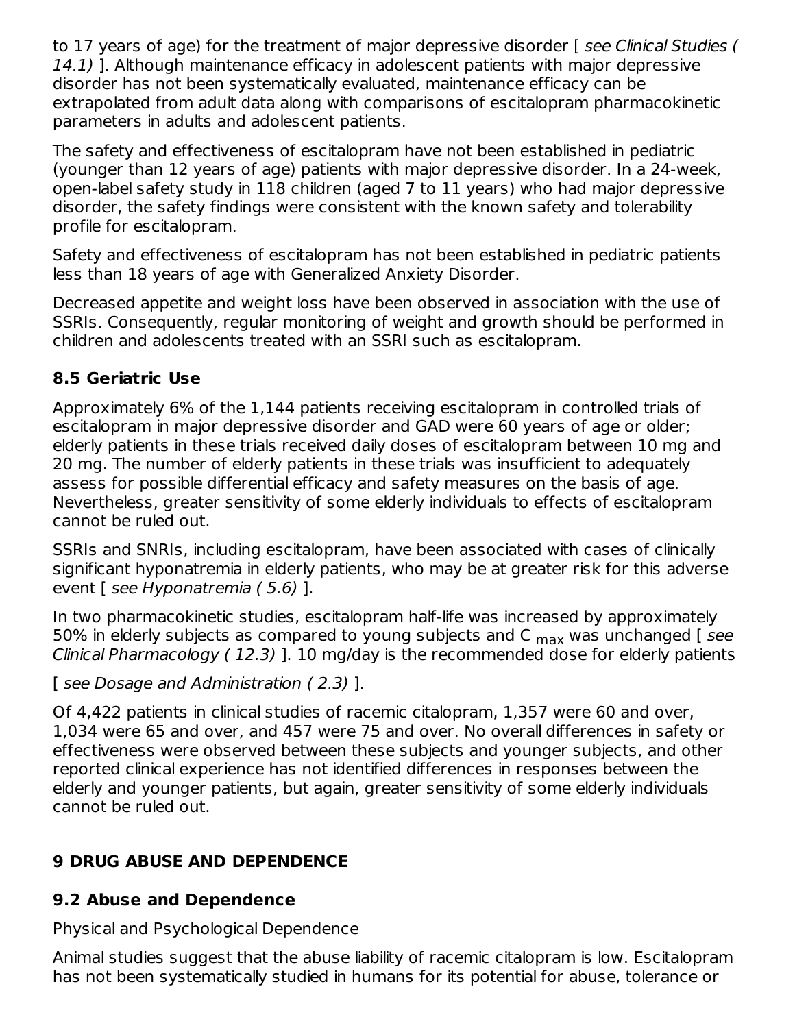to 17 years of age) for the treatment of major depressive disorder [ see Clinical Studies ( 14.1) ]. Although maintenance efficacy in adolescent patients with major depressive disorder has not been systematically evaluated, maintenance efficacy can be extrapolated from adult data along with comparisons of escitalopram pharmacokinetic parameters in adults and adolescent patients.

The safety and effectiveness of escitalopram have not been established in pediatric (younger than 12 years of age) patients with major depressive disorder. In a 24-week, open-label safety study in 118 children (aged 7 to 11 years) who had major depressive disorder, the safety findings were consistent with the known safety and tolerability profile for escitalopram.

Safety and effectiveness of escitalopram has not been established in pediatric patients less than 18 years of age with Generalized Anxiety Disorder.

Decreased appetite and weight loss have been observed in association with the use of SSRIs. Consequently, regular monitoring of weight and growth should be performed in children and adolescents treated with an SSRI such as escitalopram.

### **8.5 Geriatric Use**

Approximately 6% of the 1,144 patients receiving escitalopram in controlled trials of escitalopram in major depressive disorder and GAD were 60 years of age or older; elderly patients in these trials received daily doses of escitalopram between 10 mg and 20 mg. The number of elderly patients in these trials was insufficient to adequately assess for possible differential efficacy and safety measures on the basis of age. Nevertheless, greater sensitivity of some elderly individuals to effects of escitalopram cannot be ruled out.

SSRIs and SNRIs, including escitalopram, have been associated with cases of clinically significant hyponatremia in elderly patients, who may be at greater risk for this adverse event [ see Hyponatremia ( 5.6) ].

In two pharmacokinetic studies, escitalopram half-life was increased by approximately 50% in elderly subjects as compared to young subjects and C  $_{\sf max}$  was unchanged [ *see* Clinical Pharmacology ( 12.3) ]. 10 mg/day is the recommended dose for elderly patients

[ see Dosage and Administration ( 2.3) ].

Of 4,422 patients in clinical studies of racemic citalopram, 1,357 were 60 and over, 1,034 were 65 and over, and 457 were 75 and over. No overall differences in safety or effectiveness were observed between these subjects and younger subjects, and other reported clinical experience has not identified differences in responses between the elderly and younger patients, but again, greater sensitivity of some elderly individuals cannot be ruled out.

# **9 DRUG ABUSE AND DEPENDENCE**

# **9.2 Abuse and Dependence**

Physical and Psychological Dependence

Animal studies suggest that the abuse liability of racemic citalopram is low. Escitalopram has not been systematically studied in humans for its potential for abuse, tolerance or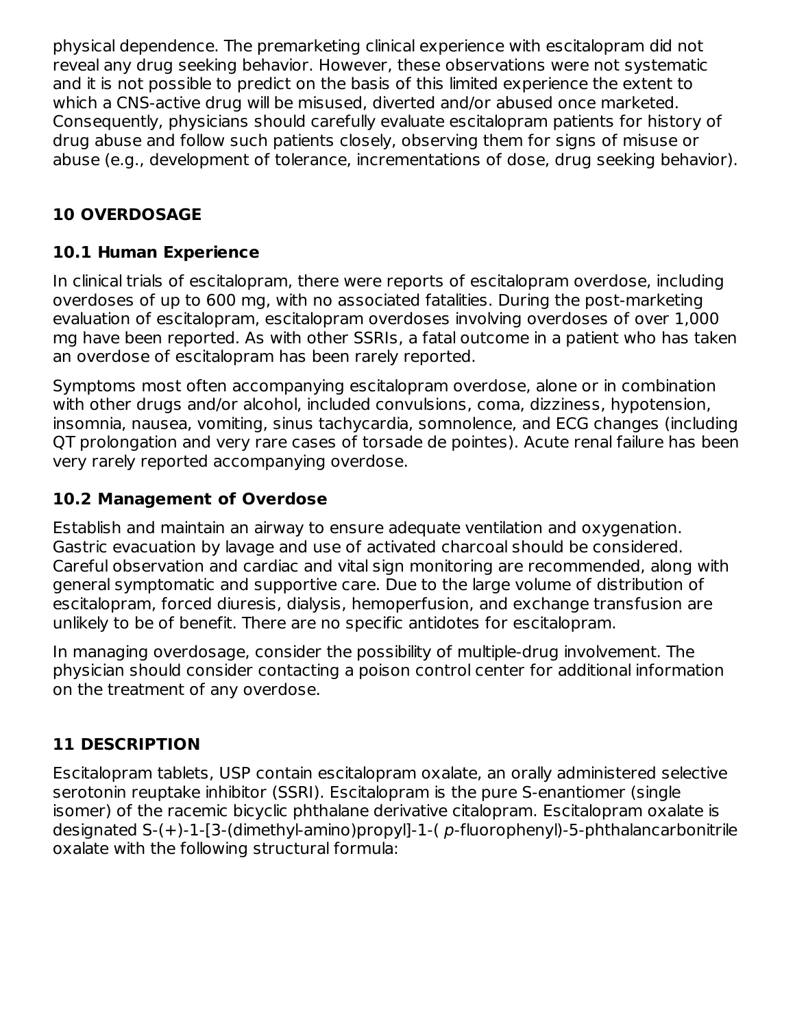physical dependence. The premarketing clinical experience with escitalopram did not reveal any drug seeking behavior. However, these observations were not systematic and it is not possible to predict on the basis of this limited experience the extent to which a CNS-active drug will be misused, diverted and/or abused once marketed. Consequently, physicians should carefully evaluate escitalopram patients for history of drug abuse and follow such patients closely, observing them for signs of misuse or abuse (e.g., development of tolerance, incrementations of dose, drug seeking behavior).

# **10 OVERDOSAGE**

# **10.1 Human Experience**

In clinical trials of escitalopram, there were reports of escitalopram overdose, including overdoses of up to 600 mg, with no associated fatalities. During the post-marketing evaluation of escitalopram, escitalopram overdoses involving overdoses of over 1,000 mg have been reported. As with other SSRIs, a fatal outcome in a patient who has taken an overdose of escitalopram has been rarely reported.

Symptoms most often accompanying escitalopram overdose, alone or in combination with other drugs and/or alcohol, included convulsions, coma, dizziness, hypotension, insomnia, nausea, vomiting, sinus tachycardia, somnolence, and ECG changes (including QT prolongation and very rare cases of torsade de pointes). Acute renal failure has been very rarely reported accompanying overdose.

### **10.2 Management of Overdose**

Establish and maintain an airway to ensure adequate ventilation and oxygenation. Gastric evacuation by lavage and use of activated charcoal should be considered. Careful observation and cardiac and vital sign monitoring are recommended, along with general symptomatic and supportive care. Due to the large volume of distribution of escitalopram, forced diuresis, dialysis, hemoperfusion, and exchange transfusion are unlikely to be of benefit. There are no specific antidotes for escitalopram.

In managing overdosage, consider the possibility of multiple-drug involvement. The physician should consider contacting a poison control center for additional information on the treatment of any overdose.

# **11 DESCRIPTION**

Escitalopram tablets, USP contain escitalopram oxalate, an orally administered selective serotonin reuptake inhibitor (SSRI). Escitalopram is the pure S-enantiomer (single isomer) of the racemic bicyclic phthalane derivative citalopram. Escitalopram oxalate is designated S-(+)-1-[3-(dimethyl-amino)propyl]-1-( p-fluorophenyl)-5-phthalancarbonitrile oxalate with the following structural formula: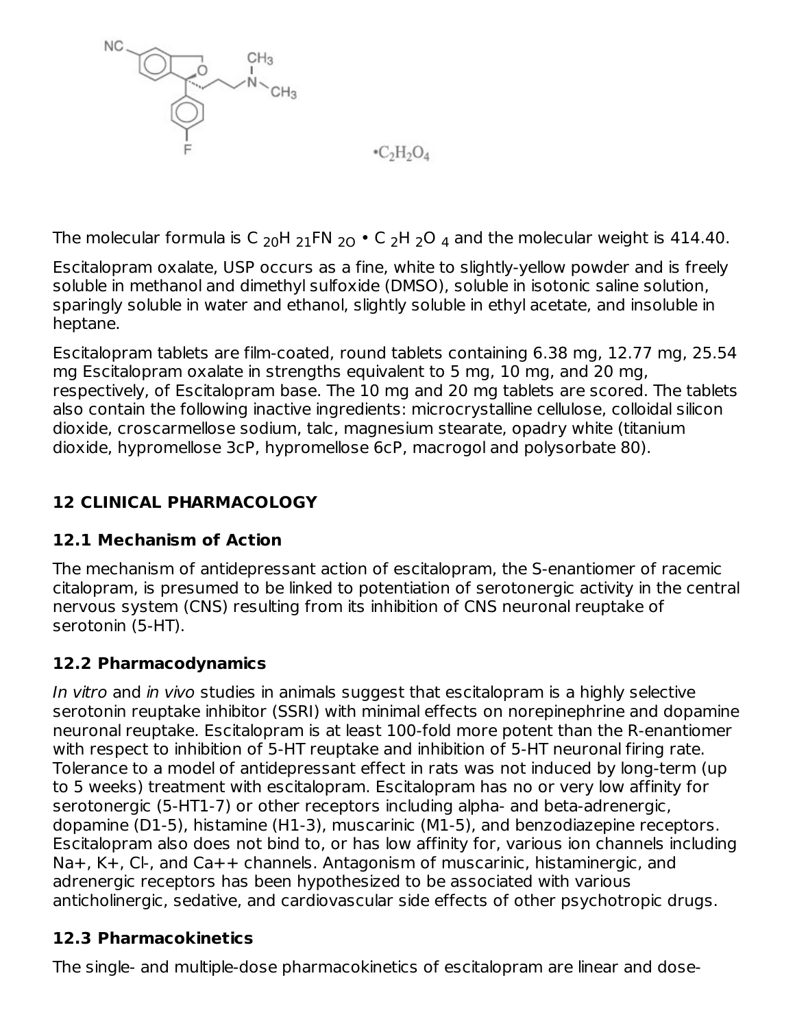

The molecular formula is C  $_{20}$ H  $_{21}$ FN  $_{20}$   $\bullet$  C  $_{2}$ H  $_{2}$ O  $_{4}$  and the molecular weight is 414.40.

Escitalopram oxalate, USP occurs as a fine, white to slightly-yellow powder and is freely soluble in methanol and dimethyl sulfoxide (DMSO), soluble in isotonic saline solution, sparingly soluble in water and ethanol, slightly soluble in ethyl acetate, and insoluble in heptane.

Escitalopram tablets are film-coated, round tablets containing 6.38 mg, 12.77 mg, 25.54 mg Escitalopram oxalate in strengths equivalent to 5 mg, 10 mg, and 20 mg, respectively, of Escitalopram base. The 10 mg and 20 mg tablets are scored. The tablets also contain the following inactive ingredients: microcrystalline cellulose, colloidal silicon dioxide, croscarmellose sodium, talc, magnesium stearate, opadry white (titanium dioxide, hypromellose 3cP, hypromellose 6cP, macrogol and polysorbate 80).

### **12 CLINICAL PHARMACOLOGY**

#### **12.1 Mechanism of Action**

The mechanism of antidepressant action of escitalopram, the S-enantiomer of racemic citalopram, is presumed to be linked to potentiation of serotonergic activity in the central nervous system (CNS) resulting from its inhibition of CNS neuronal reuptake of serotonin (5-HT).

#### **12.2 Pharmacodynamics**

In vitro and in vivo studies in animals suggest that escitalopram is a highly selective serotonin reuptake inhibitor (SSRI) with minimal effects on norepinephrine and dopamine neuronal reuptake. Escitalopram is at least 100-fold more potent than the R-enantiomer with respect to inhibition of 5-HT reuptake and inhibition of 5-HT neuronal firing rate. Tolerance to a model of antidepressant effect in rats was not induced by long-term (up to 5 weeks) treatment with escitalopram. Escitalopram has no or very low affinity for serotonergic (5-HT1-7) or other receptors including alpha- and beta-adrenergic, dopamine (D1-5), histamine (H1-3), muscarinic (M1-5), and benzodiazepine receptors. Escitalopram also does not bind to, or has low affinity for, various ion channels including Na+, K+, CI-, and Ca++ channels. Antagonism of muscarinic, histaminergic, and adrenergic receptors has been hypothesized to be associated with various anticholinergic, sedative, and cardiovascular side effects of other psychotropic drugs.

#### **12.3 Pharmacokinetics**

The single- and multiple-dose pharmacokinetics of escitalopram are linear and dose-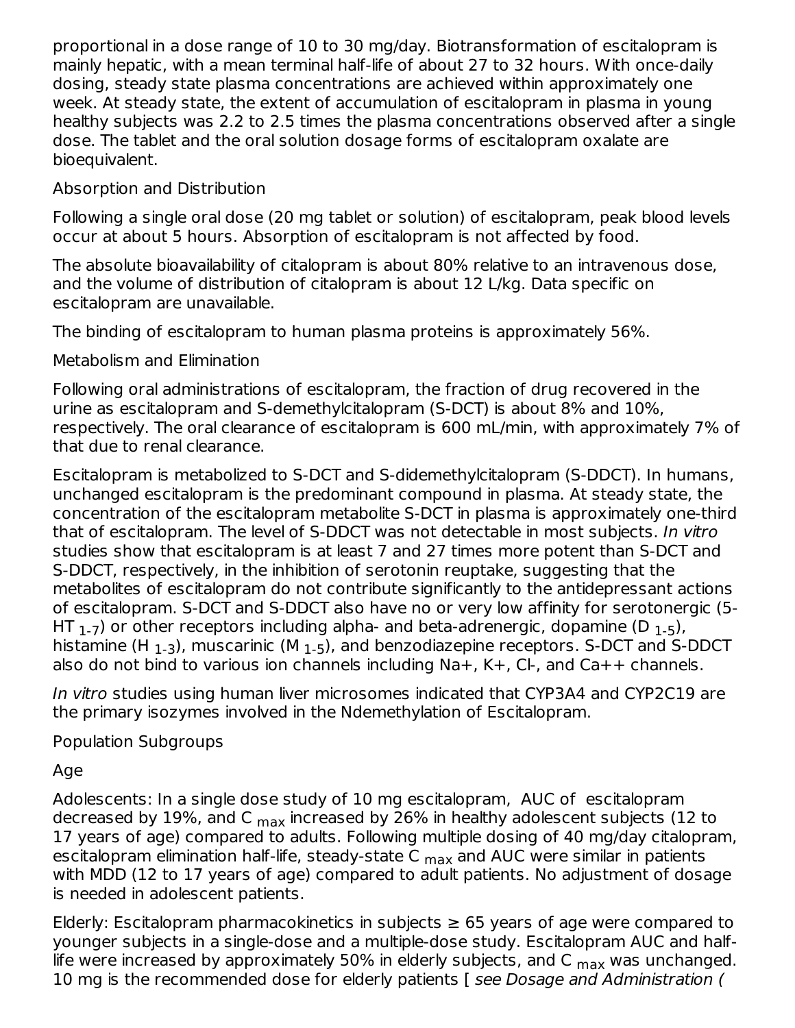proportional in a dose range of 10 to 30 mg/day. Biotransformation of escitalopram is mainly hepatic, with a mean terminal half-life of about 27 to 32 hours. With once-daily dosing, steady state plasma concentrations are achieved within approximately one week. At steady state, the extent of accumulation of escitalopram in plasma in young healthy subjects was 2.2 to 2.5 times the plasma concentrations observed after a single dose. The tablet and the oral solution dosage forms of escitalopram oxalate are bioequivalent.

Absorption and Distribution

Following a single oral dose (20 mg tablet or solution) of escitalopram, peak blood levels occur at about 5 hours. Absorption of escitalopram is not affected by food.

The absolute bioavailability of citalopram is about 80% relative to an intravenous dose, and the volume of distribution of citalopram is about 12 L/kg. Data specific on escitalopram are unavailable.

The binding of escitalopram to human plasma proteins is approximately 56%.

Metabolism and Elimination

Following oral administrations of escitalopram, the fraction of drug recovered in the urine as escitalopram and S-demethylcitalopram (S-DCT) is about 8% and 10%, respectively. The oral clearance of escitalopram is 600 mL/min, with approximately 7% of that due to renal clearance.

Escitalopram is metabolized to S-DCT and S-didemethylcitalopram (S-DDCT). In humans, unchanged escitalopram is the predominant compound in plasma. At steady state, the concentration of the escitalopram metabolite S-DCT in plasma is approximately one-third that of escitalopram. The level of S-DDCT was not detectable in most subjects. In vitro studies show that escitalopram is at least 7 and 27 times more potent than S-DCT and S-DDCT, respectively, in the inhibition of serotonin reuptake, suggesting that the metabolites of escitalopram do not contribute significantly to the antidepressant actions of escitalopram. S-DCT and S-DDCT also have no or very low affinity for serotonergic (5- HT  $_{\rm 1-7}$ ) or other receptors including alpha- and beta-adrenergic, dopamine (D  $_{\rm 1-5}$ ), histamine (H  $_{\rm 1-3}$ ), muscarinic (M  $_{\rm 1-5}$ ), and benzodiazepine receptors. S-DCT and S-DDCT also do not bind to various ion channels including Na+, K+, Cl-, and Ca++ channels.

In vitro studies using human liver microsomes indicated that CYP3A4 and CYP2C19 are the primary isozymes involved in the Ndemethylation of Escitalopram.

Population Subgroups

Age

Adolescents: In a single dose study of 10 mg escitalopram, AUC of escitalopram decreased by 19%, and C <sub>max</sub> increased by 26% in healthy adolescent subjects (12 to 17 years of age) compared to adults. Following multiple dosing of 40 mg/day citalopram, escitalopram elimination half-life, steady-state C <sub>max</sub> and AUC were similar in patients with MDD (12 to 17 years of age) compared to adult patients. No adjustment of dosage is needed in adolescent patients.

Elderly: Escitalopram pharmacokinetics in subjects  $\geq$  65 years of age were compared to younger subjects in a single-dose and a multiple-dose study. Escitalopram AUC and halflife were increased by approximately 50% in elderly subjects, and C  $_{\sf max}$  was unchanged. 10 mg is the recommended dose for elderly patients [ see Dosage and Administration (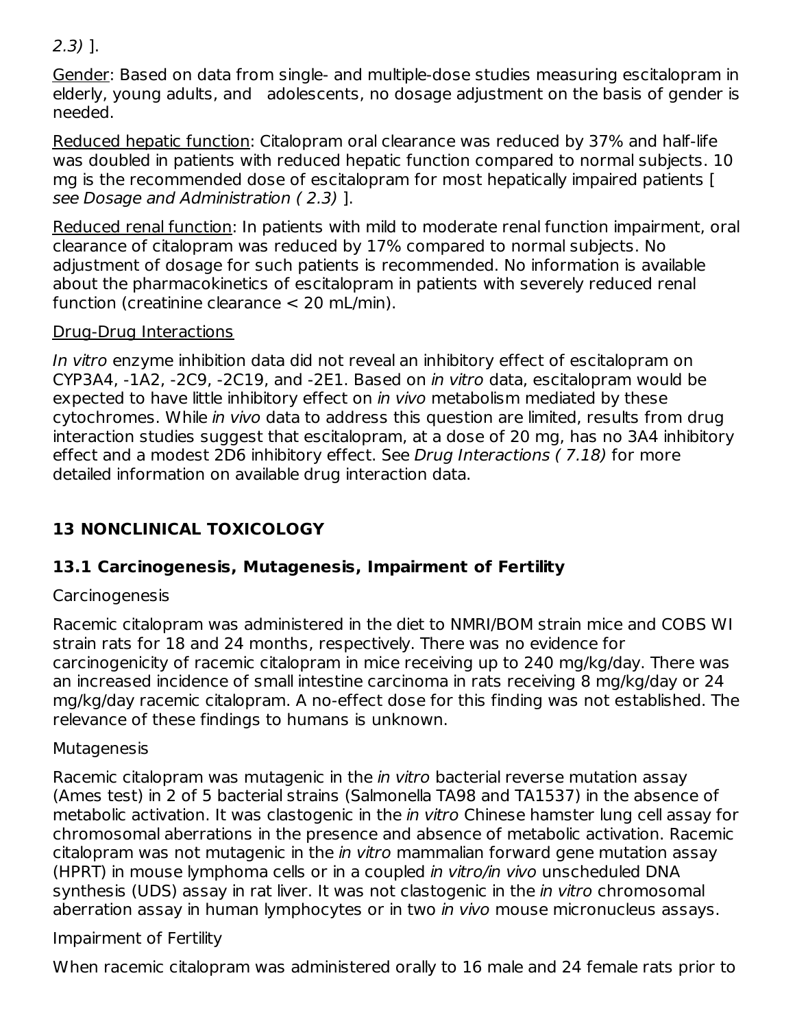### 2.3) ].

Gender: Based on data from single- and multiple-dose studies measuring escitalopram in elderly, young adults, and adolescents, no dosage adjustment on the basis of gender is needed.

Reduced hepatic function: Citalopram oral clearance was reduced by 37% and half-life was doubled in patients with reduced hepatic function compared to normal subjects. 10 mg is the recommended dose of escitalopram for most hepatically impaired patients [ see Dosage and Administration ( 2.3) ].

Reduced renal function: In patients with mild to moderate renal function impairment, oral clearance of citalopram was reduced by 17% compared to normal subjects. No adjustment of dosage for such patients is recommended. No information is available about the pharmacokinetics of escitalopram in patients with severely reduced renal function (creatinine clearance < 20 mL/min).

#### Drug-Drug Interactions

In vitro enzyme inhibition data did not reveal an inhibitory effect of escitalopram on CYP3A4, -1A2, -2C9, -2C19, and -2E1. Based on in vitro data, escitalopram would be expected to have little inhibitory effect on in vivo metabolism mediated by these cytochromes. While in vivo data to address this question are limited, results from drug interaction studies suggest that escitalopram, at a dose of 20 mg, has no 3A4 inhibitory effect and a modest 2D6 inhibitory effect. See Drug Interactions ( 7.18) for more detailed information on available drug interaction data.

# **13 NONCLINICAL TOXICOLOGY**

# **13.1 Carcinogenesis, Mutagenesis, Impairment of Fertility**

#### Carcinogenesis

Racemic citalopram was administered in the diet to NMRI/BOM strain mice and COBS WI strain rats for 18 and 24 months, respectively. There was no evidence for carcinogenicity of racemic citalopram in mice receiving up to 240 mg/kg/day. There was an increased incidence of small intestine carcinoma in rats receiving 8 mg/kg/day or 24 mg/kg/day racemic citalopram. A no-effect dose for this finding was not established. The relevance of these findings to humans is unknown.

#### **Mutagenesis**

Racemic citalopram was mutagenic in the *in vitro* bacterial reverse mutation assay (Ames test) in 2 of 5 bacterial strains (Salmonella TA98 and TA1537) in the absence of metabolic activation. It was clastogenic in the *in vitro* Chinese hamster lung cell assay for chromosomal aberrations in the presence and absence of metabolic activation. Racemic citalopram was not mutagenic in the in vitro mammalian forward gene mutation assay (HPRT) in mouse lymphoma cells or in a coupled in vitro/in vivo unscheduled DNA synthesis (UDS) assay in rat liver. It was not clastogenic in the *in vitro* chromosomal aberration assay in human lymphocytes or in two *in vivo* mouse micronucleus assays.

#### Impairment of Fertility

When racemic citalopram was administered orally to 16 male and 24 female rats prior to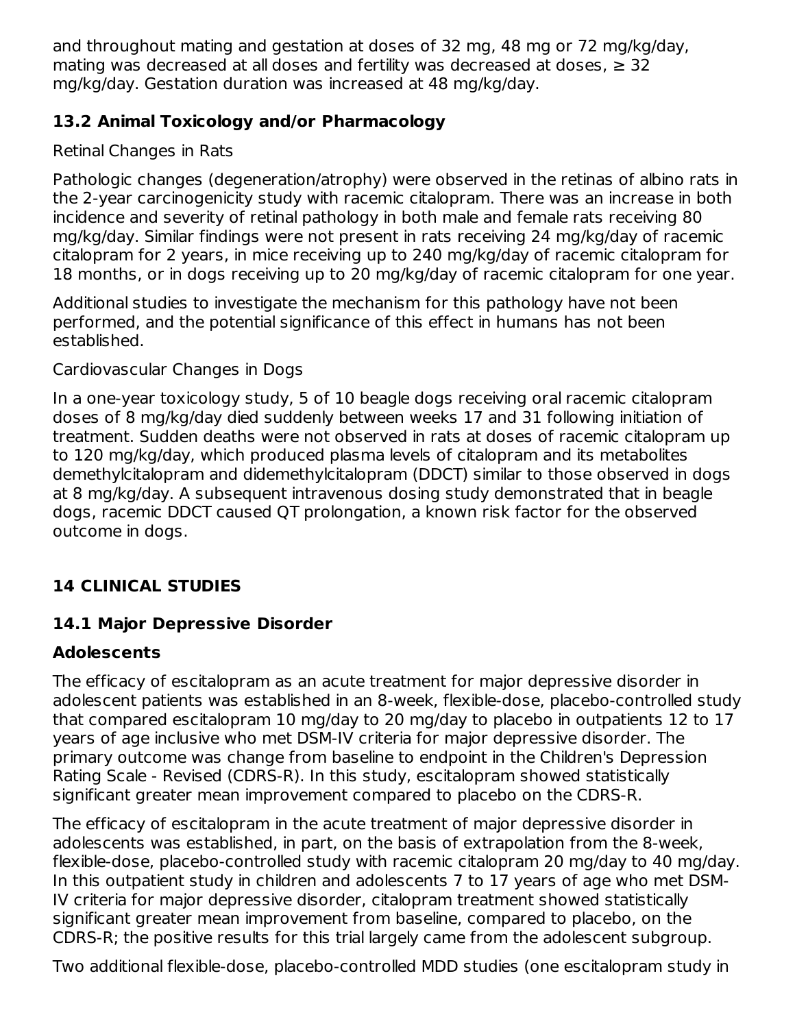and throughout mating and gestation at doses of 32 mg, 48 mg or 72 mg/kg/day, mating was decreased at all doses and fertility was decreased at doses,  $\geq 32$ mg/kg/day. Gestation duration was increased at 48 mg/kg/day.

### **13.2 Animal Toxicology and/or Pharmacology**

Retinal Changes in Rats

Pathologic changes (degeneration/atrophy) were observed in the retinas of albino rats in the 2-year carcinogenicity study with racemic citalopram. There was an increase in both incidence and severity of retinal pathology in both male and female rats receiving 80 mg/kg/day. Similar findings were not present in rats receiving 24 mg/kg/day of racemic citalopram for 2 years, in mice receiving up to 240 mg/kg/day of racemic citalopram for 18 months, or in dogs receiving up to 20 mg/kg/day of racemic citalopram for one year.

Additional studies to investigate the mechanism for this pathology have not been performed, and the potential significance of this effect in humans has not been established.

### Cardiovascular Changes in Dogs

In a one-year toxicology study, 5 of 10 beagle dogs receiving oral racemic citalopram doses of 8 mg/kg/day died suddenly between weeks 17 and 31 following initiation of treatment. Sudden deaths were not observed in rats at doses of racemic citalopram up to 120 mg/kg/day, which produced plasma levels of citalopram and its metabolites demethylcitalopram and didemethylcitalopram (DDCT) similar to those observed in dogs at 8 mg/kg/day. A subsequent intravenous dosing study demonstrated that in beagle dogs, racemic DDCT caused QT prolongation, a known risk factor for the observed outcome in dogs.

# **14 CLINICAL STUDIES**

# **14.1 Major Depressive Disorder**

# **Adolescents**

The efficacy of escitalopram as an acute treatment for major depressive disorder in adolescent patients was established in an 8-week, flexible-dose, placebo-controlled study that compared escitalopram 10 mg/day to 20 mg/day to placebo in outpatients 12 to 17 years of age inclusive who met DSM-IV criteria for major depressive disorder. The primary outcome was change from baseline to endpoint in the Children's Depression Rating Scale - Revised (CDRS-R). In this study, escitalopram showed statistically significant greater mean improvement compared to placebo on the CDRS-R.

The efficacy of escitalopram in the acute treatment of major depressive disorder in adolescents was established, in part, on the basis of extrapolation from the 8-week, flexible-dose, placebo-controlled study with racemic citalopram 20 mg/day to 40 mg/day. In this outpatient study in children and adolescents 7 to 17 years of age who met DSM-IV criteria for major depressive disorder, citalopram treatment showed statistically significant greater mean improvement from baseline, compared to placebo, on the CDRS-R; the positive results for this trial largely came from the adolescent subgroup.

Two additional flexible-dose, placebo-controlled MDD studies (one escitalopram study in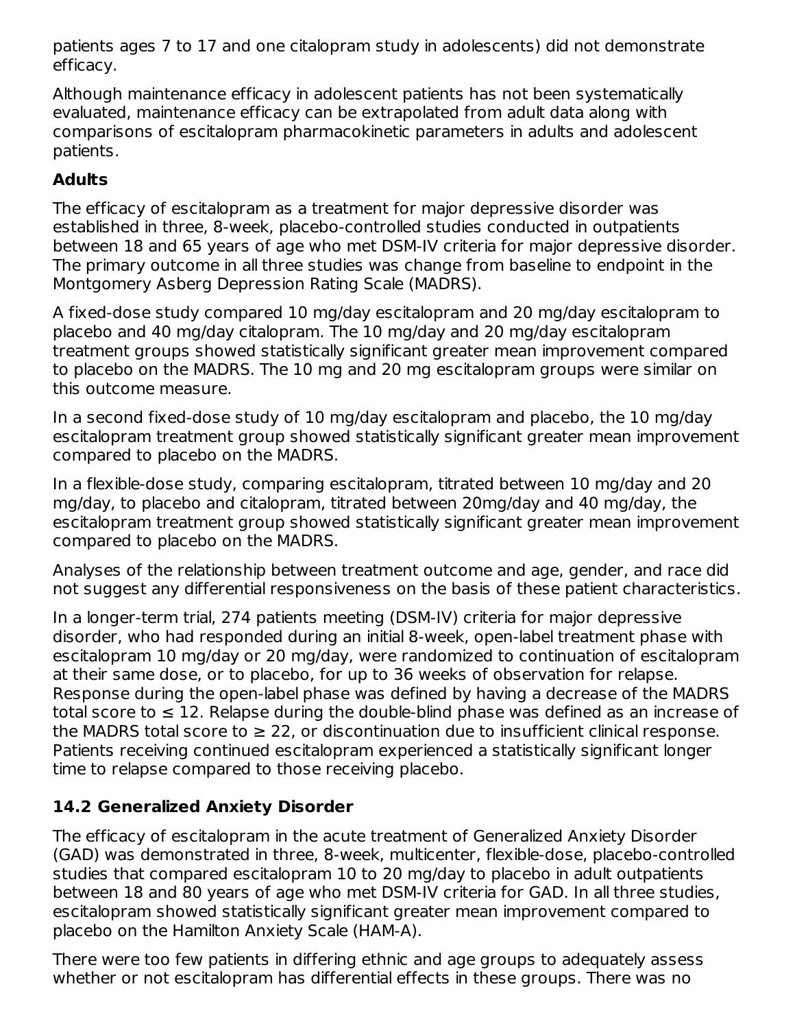patients ages 7 to 17 and one citalopram study in adolescents) did not demonstrate efficacy.

Although maintenance efficacy in adolescent patients has not been systematically evaluated, maintenance efficacy can be extrapolated from adult data along with comparisons of escitalopram pharmacokinetic parameters in adults and adolescent patients.

# **Adults**

The efficacy of escitalopram as a treatment for major depressive disorder was established in three, 8-week, placebo-controlled studies conducted in outpatients between 18 and 65 years of age who met DSM-IV criteria for major depressive disorder. The primary outcome in all three studies was change from baseline to endpoint in the Montgomery Asberg Depression Rating Scale (MADRS).

A fixed-dose study compared 10 mg/day escitalopram and 20 mg/day escitalopram to placebo and 40 mg/day citalopram. The 10 mg/day and 20 mg/day escitalopram treatment groups showed statistically significant greater mean improvement compared to placebo on the MADRS. The 10 mg and 20 mg escitalopram groups were similar on this outcome measure.

In a second fixed-dose study of 10 mg/day escitalopram and placebo, the 10 mg/day escitalopram treatment group showed statistically significant greater mean improvement compared to placebo on the MADRS.

In a flexible-dose study, comparing escitalopram, titrated between 10 mg/day and 20 mg/day, to placebo and citalopram, titrated between 20mg/day and 40 mg/day, the escitalopram treatment group showed statistically significant greater mean improvement compared to placebo on the MADRS.

Analyses of the relationship between treatment outcome and age, gender, and race did not suggest any differential responsiveness on the basis of these patient characteristics.

In a longer-term trial, 274 patients meeting (DSM-IV) criteria for major depressive disorder, who had responded during an initial 8-week, open-label treatment phase with escitalopram 10 mg/day or 20 mg/day, were randomized to continuation of escitalopram at their same dose, or to placebo, for up to 36 weeks of observation for relapse. Response during the open-label phase was defined by having a decrease of the MADRS total score to  $\leq 12$ . Relapse during the double-blind phase was defined as an increase of the MADRS total score to  $\geq 22$ , or discontinuation due to insufficient clinical response. Patients receiving continued escitalopram experienced a statistically significant longer time to relapse compared to those receiving placebo.

# **14.2 Generalized Anxiety Disorder**

The efficacy of escitalopram in the acute treatment of Generalized Anxiety Disorder (GAD) was demonstrated in three, 8-week, multicenter, flexible-dose, placebo-controlled studies that compared escitalopram 10 to 20 mg/day to placebo in adult outpatients between 18 and 80 years of age who met DSM-IV criteria for GAD. In all three studies, escitalopram showed statistically significant greater mean improvement compared to placebo on the Hamilton Anxiety Scale (HAM-A).

There were too few patients in differing ethnic and age groups to adequately assess whether or not escitalopram has differential effects in these groups. There was no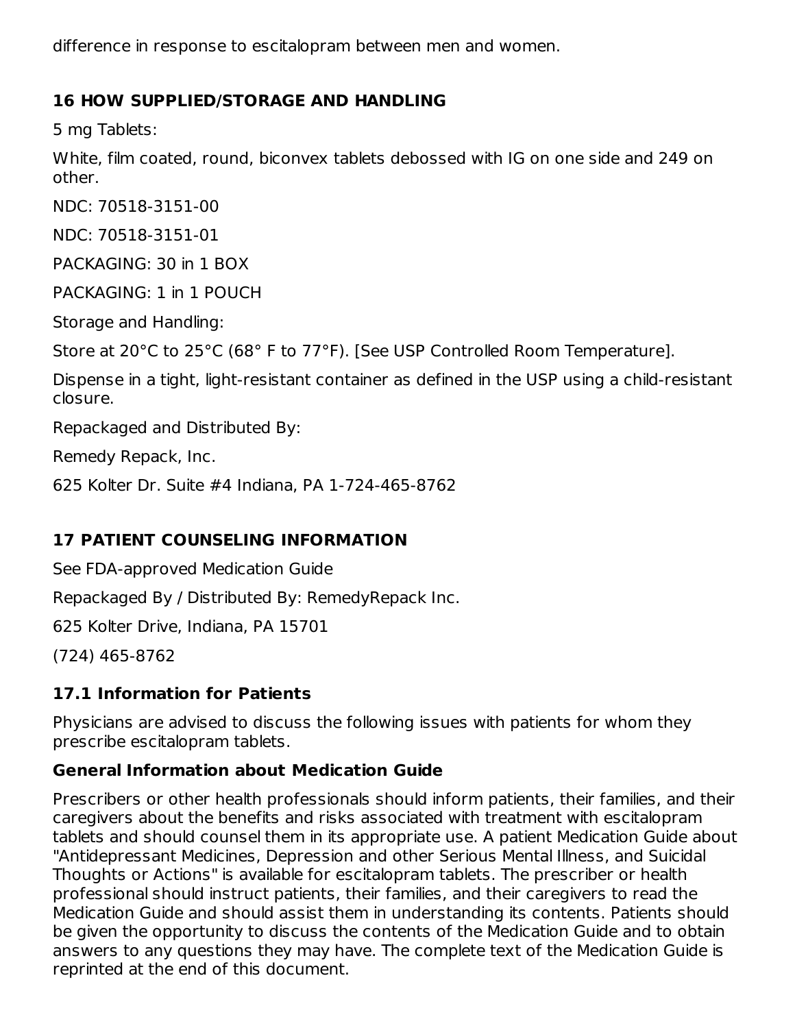difference in response to escitalopram between men and women.

#### **16 HOW SUPPLIED/STORAGE AND HANDLING**

5 mg Tablets:

White, film coated, round, biconvex tablets debossed with IG on one side and 249 on other.

NDC: 70518-3151-00

NDC: 70518-3151-01

PACKAGING: 30 in 1 BOX

PACKAGING: 1 in 1 POUCH

Storage and Handling:

Store at 20°C to 25°C (68° F to 77°F). [See USP Controlled Room Temperature].

Dispense in a tight, light-resistant container as defined in the USP using a child-resistant closure.

Repackaged and Distributed By:

Remedy Repack, Inc.

625 Kolter Dr. Suite #4 Indiana, PA 1-724-465-8762

# **17 PATIENT COUNSELING INFORMATION**

See FDA-approved Medication Guide

Repackaged By / Distributed By: RemedyRepack Inc.

625 Kolter Drive, Indiana, PA 15701

(724) 465-8762

# **17.1 Information for Patients**

Physicians are advised to discuss the following issues with patients for whom they prescribe escitalopram tablets.

# **General Information about Medication Guide**

Prescribers or other health professionals should inform patients, their families, and their caregivers about the benefits and risks associated with treatment with escitalopram tablets and should counsel them in its appropriate use. A patient Medication Guide about "Antidepressant Medicines, Depression and other Serious Mental Illness, and Suicidal Thoughts or Actions" is available for escitalopram tablets. The prescriber or health professional should instruct patients, their families, and their caregivers to read the Medication Guide and should assist them in understanding its contents. Patients should be given the opportunity to discuss the contents of the Medication Guide and to obtain answers to any questions they may have. The complete text of the Medication Guide is reprinted at the end of this document.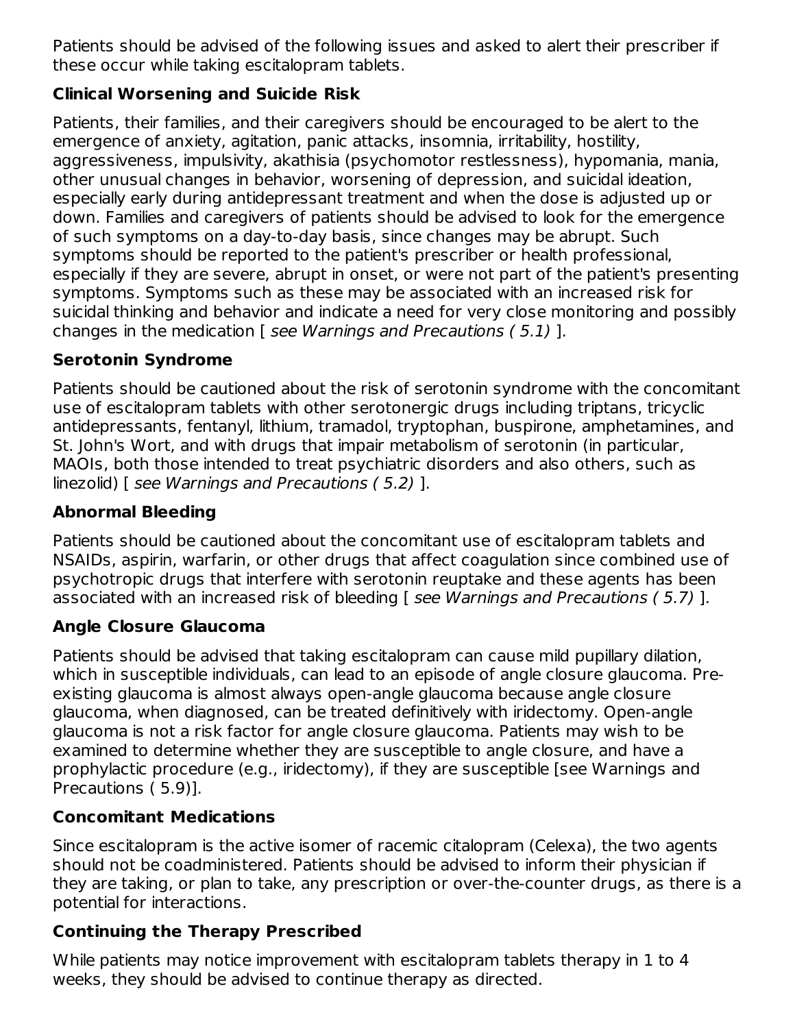Patients should be advised of the following issues and asked to alert their prescriber if these occur while taking escitalopram tablets.

### **Clinical Worsening and Suicide Risk**

Patients, their families, and their caregivers should be encouraged to be alert to the emergence of anxiety, agitation, panic attacks, insomnia, irritability, hostility, aggressiveness, impulsivity, akathisia (psychomotor restlessness), hypomania, mania, other unusual changes in behavior, worsening of depression, and suicidal ideation, especially early during antidepressant treatment and when the dose is adjusted up or down. Families and caregivers of patients should be advised to look for the emergence of such symptoms on a day-to-day basis, since changes may be abrupt. Such symptoms should be reported to the patient's prescriber or health professional, especially if they are severe, abrupt in onset, or were not part of the patient's presenting symptoms. Symptoms such as these may be associated with an increased risk for suicidal thinking and behavior and indicate a need for very close monitoring and possibly changes in the medication  $\lceil$  see Warnings and Precautions (5.1)  $\lceil$ .

### **Serotonin Syndrome**

Patients should be cautioned about the risk of serotonin syndrome with the concomitant use of escitalopram tablets with other serotonergic drugs including triptans, tricyclic antidepressants, fentanyl, lithium, tramadol, tryptophan, buspirone, amphetamines, and St. John's Wort, and with drugs that impair metabolism of serotonin (in particular, MAOIs, both those intended to treat psychiatric disorders and also others, such as linezolid) [ see Warnings and Precautions ( 5.2) ].

# **Abnormal Bleeding**

Patients should be cautioned about the concomitant use of escitalopram tablets and NSAIDs, aspirin, warfarin, or other drugs that affect coagulation since combined use of psychotropic drugs that interfere with serotonin reuptake and these agents has been associated with an increased risk of bleeding [ see Warnings and Precautions ( 5.7) ].

# **Angle Closure Glaucoma**

Patients should be advised that taking escitalopram can cause mild pupillary dilation, which in susceptible individuals, can lead to an episode of angle closure glaucoma. Preexisting glaucoma is almost always open-angle glaucoma because angle closure glaucoma, when diagnosed, can be treated definitively with iridectomy. Open-angle glaucoma is not a risk factor for angle closure glaucoma. Patients may wish to be examined to determine whether they are susceptible to angle closure, and have a prophylactic procedure (e.g., iridectomy), if they are susceptible [see Warnings and Precautions ( 5.9)].

#### **Concomitant Medications**

Since escitalopram is the active isomer of racemic citalopram (Celexa), the two agents should not be coadministered. Patients should be advised to inform their physician if they are taking, or plan to take, any prescription or over-the-counter drugs, as there is a potential for interactions.

# **Continuing the Therapy Prescribed**

While patients may notice improvement with escitalopram tablets therapy in 1 to 4 weeks, they should be advised to continue therapy as directed.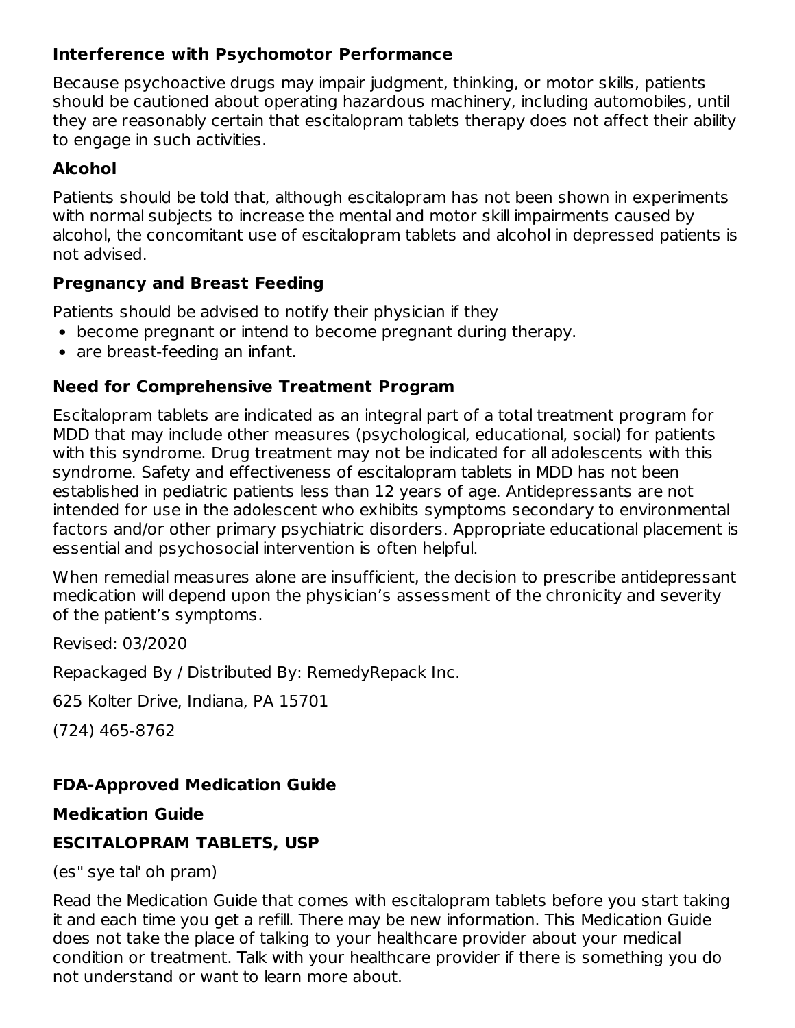#### **Interference with Psychomotor Performance**

Because psychoactive drugs may impair judgment, thinking, or motor skills, patients should be cautioned about operating hazardous machinery, including automobiles, until they are reasonably certain that escitalopram tablets therapy does not affect their ability to engage in such activities.

#### **Alcohol**

Patients should be told that, although escitalopram has not been shown in experiments with normal subjects to increase the mental and motor skill impairments caused by alcohol, the concomitant use of escitalopram tablets and alcohol in depressed patients is not advised.

#### **Pregnancy and Breast Feeding**

Patients should be advised to notify their physician if they

- become pregnant or intend to become pregnant during therapy.
- are breast-feeding an infant.

#### **Need for Comprehensive Treatment Program**

Escitalopram tablets are indicated as an integral part of a total treatment program for MDD that may include other measures (psychological, educational, social) for patients with this syndrome. Drug treatment may not be indicated for all adolescents with this syndrome. Safety and effectiveness of escitalopram tablets in MDD has not been established in pediatric patients less than 12 years of age. Antidepressants are not intended for use in the adolescent who exhibits symptoms secondary to environmental factors and/or other primary psychiatric disorders. Appropriate educational placement is essential and psychosocial intervention is often helpful.

When remedial measures alone are insufficient, the decision to prescribe antidepressant medication will depend upon the physician's assessment of the chronicity and severity of the patient's symptoms.

Revised: 03/2020

Repackaged By / Distributed By: RemedyRepack Inc.

625 Kolter Drive, Indiana, PA 15701

(724) 465-8762

#### **FDA-Approved Medication Guide**

#### **Medication Guide**

#### **ESCITALOPRAM TABLETS, USP**

(es'' sye tal' oh pram)

Read the Medication Guide that comes with escitalopram tablets before you start taking it and each time you get a refill. There may be new information. This Medication Guide does not take the place of talking to your healthcare provider about your medical condition or treatment. Talk with your healthcare provider if there is something you do not understand or want to learn more about.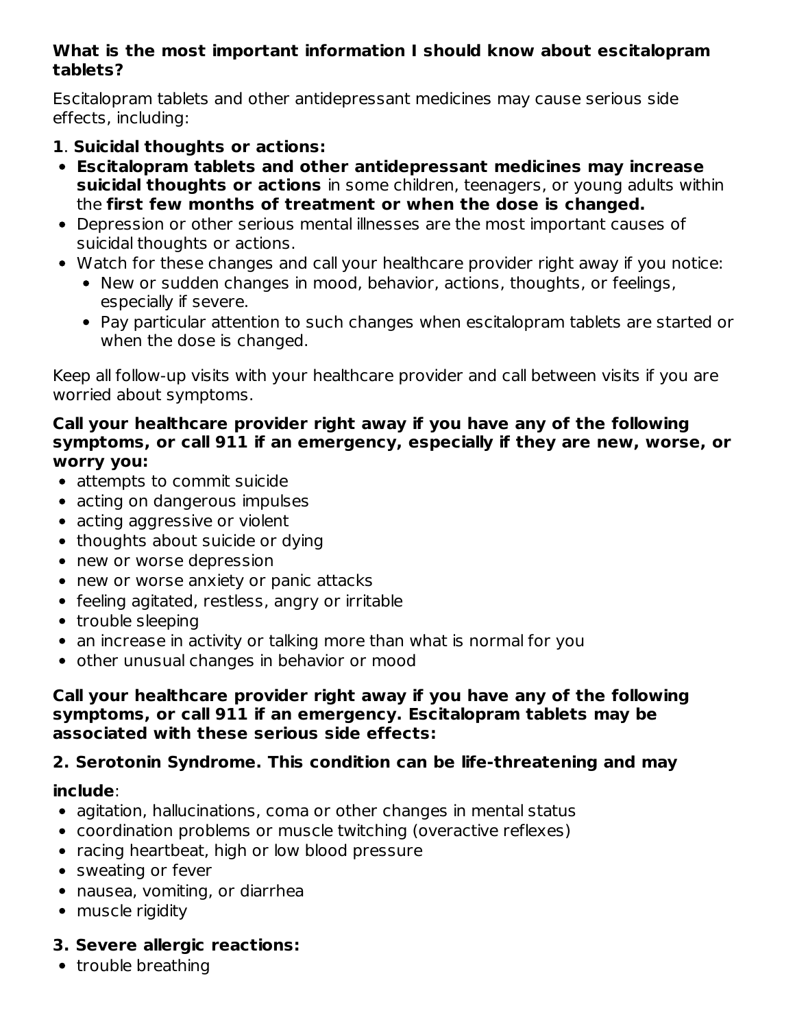#### **What is the most important information I should know about escitalopram tablets?**

Escitalopram tablets and other antidepressant medicines may cause serious side effects, including:

#### **1**. **Suicidal thoughts or actions:**

- **Escitalopram tablets and other antidepressant medicines may increase suicidal thoughts or actions** in some children, teenagers, or young adults within the **first few months of treatment or when the dose is changed.**
- Depression or other serious mental illnesses are the most important causes of suicidal thoughts or actions.
- Watch for these changes and call your healthcare provider right away if you notice:
	- New or sudden changes in mood, behavior, actions, thoughts, or feelings, especially if severe.
	- Pay particular attention to such changes when escitalopram tablets are started or when the dose is changed.

Keep all follow-up visits with your healthcare provider and call between visits if you are worried about symptoms.

#### **Call your healthcare provider right away if you have any of the following symptoms, or call 911 if an emergency, especially if they are new, worse, or worry you:**

- attempts to commit suicide
- acting on dangerous impulses
- acting aggressive or violent
- thoughts about suicide or dying
- new or worse depression
- new or worse anxiety or panic attacks
- feeling agitated, restless, angry or irritable
- trouble sleeping
- an increase in activity or talking more than what is normal for you
- other unusual changes in behavior or mood

#### **Call your healthcare provider right away if you have any of the following symptoms, or call 911 if an emergency. Escitalopram tablets may be associated with these serious side effects:**

# **2. Serotonin Syndrome. This condition can be life-threatening and may**

#### **include**:

- agitation, hallucinations, coma or other changes in mental status
- coordination problems or muscle twitching (overactive reflexes)
- racing heartbeat, high or low blood pressure
- sweating or fever
- nausea, vomiting, or diarrhea
- muscle rigidity

#### **3. Severe allergic reactions:**

• trouble breathing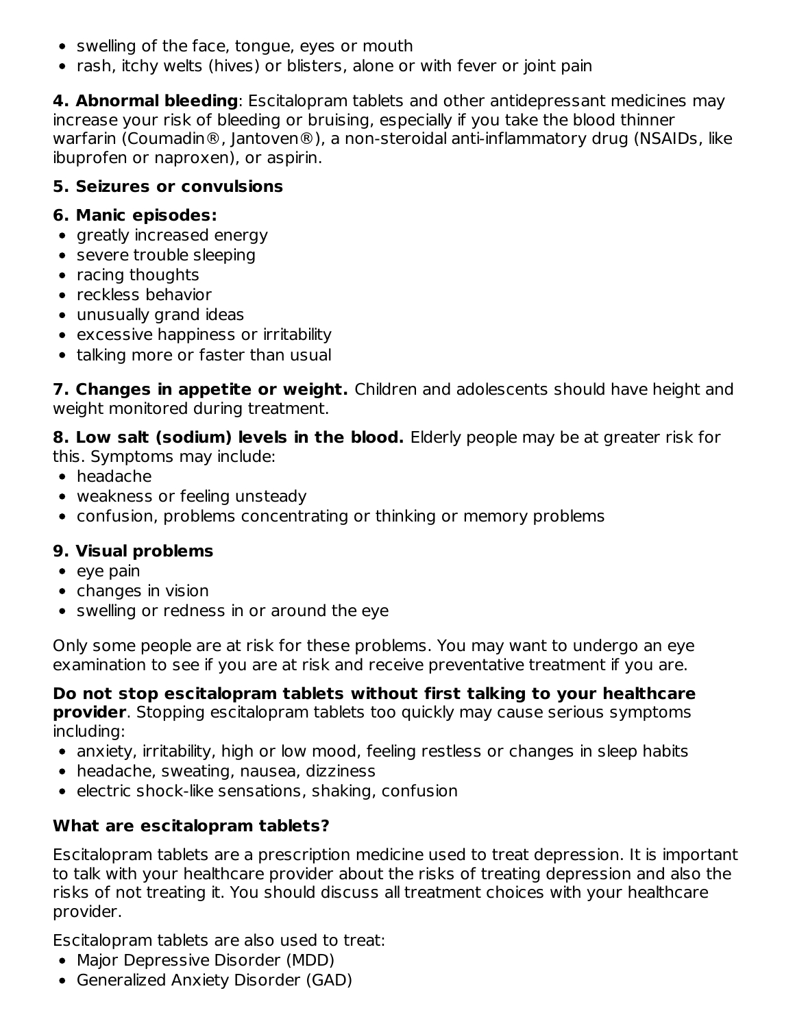- swelling of the face, tongue, eyes or mouth
- rash, itchy welts (hives) or blisters, alone or with fever or joint pain

**4. Abnormal bleeding**: Escitalopram tablets and other antidepressant medicines may increase your risk of bleeding or bruising, especially if you take the blood thinner warfarin (Coumadin®, Jantoven®), a non-steroidal anti-inflammatory drug (NSAIDs, like ibuprofen or naproxen), or aspirin.

#### **5. Seizures or convulsions**

#### **6. Manic episodes:**

- greatly increased energy
- severe trouble sleeping
- racing thoughts
- reckless behavior
- unusually grand ideas
- excessive happiness or irritability
- talking more or faster than usual

**7. Changes in appetite or weight.** Children and adolescents should have height and weight monitored during treatment.

**8. Low salt (sodium) levels in the blood.** Elderly people may be at greater risk for this. Symptoms may include:

- headache
- weakness or feeling unsteady
- confusion, problems concentrating or thinking or memory problems

#### **9. Visual problems**

- $\bullet$  eye pain
- changes in vision
- swelling or redness in or around the eye

Only some people are at risk for these problems. You may want to undergo an eye examination to see if you are at risk and receive preventative treatment if you are.

**Do not stop escitalopram tablets without first talking to your healthcare provider**. Stopping escitalopram tablets too quickly may cause serious symptoms including:

- anxiety, irritability, high or low mood, feeling restless or changes in sleep habits
- headache, sweating, nausea, dizziness
- $\bullet$  electric shock-like sensations, shaking, confusion

#### **What are escitalopram tablets?**

Escitalopram tablets are a prescription medicine used to treat depression. It is important to talk with your healthcare provider about the risks of treating depression and also the risks of not treating it. You should discuss all treatment choices with your healthcare provider.

Escitalopram tablets are also used to treat:

- Major Depressive Disorder (MDD)
- Generalized Anxiety Disorder (GAD)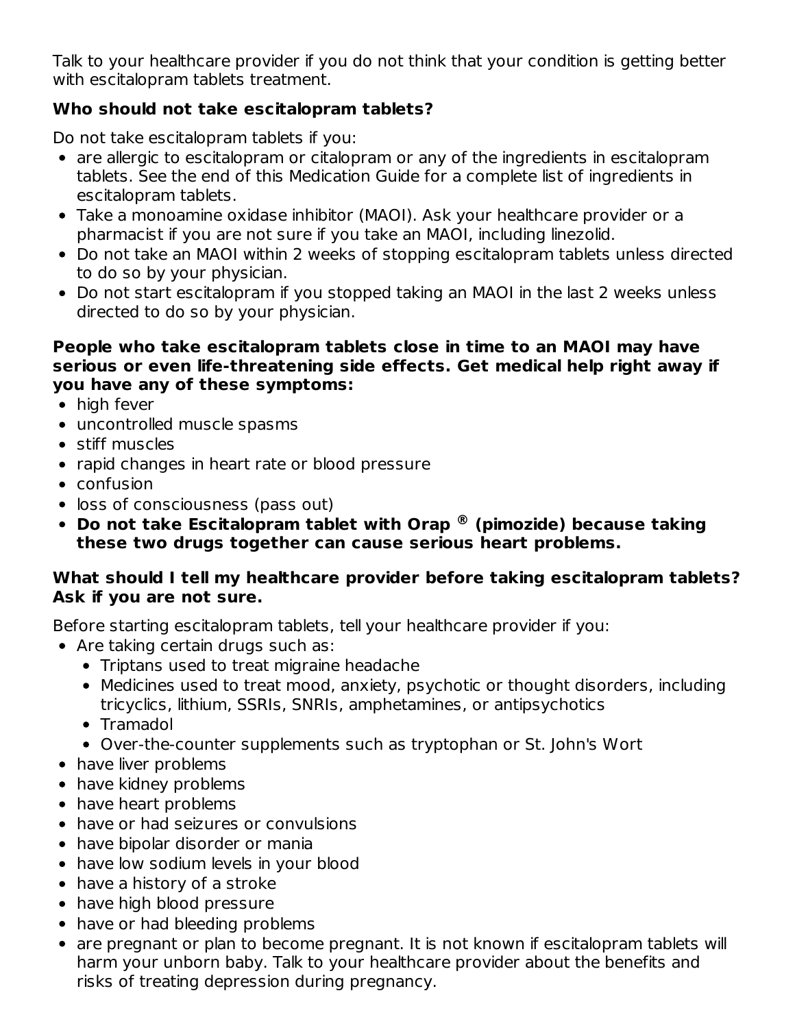Talk to your healthcare provider if you do not think that your condition is getting better with escitalopram tablets treatment.

#### **Who should not take escitalopram tablets?**

Do not take escitalopram tablets if you:

- are allergic to escitalopram or citalopram or any of the ingredients in escitalopram tablets. See the end of this Medication Guide for a complete list of ingredients in escitalopram tablets.
- Take a monoamine oxidase inhibitor (MAOI). Ask your healthcare provider or a pharmacist if you are not sure if you take an MAOI, including linezolid.
- Do not take an MAOI within 2 weeks of stopping escitalopram tablets unless directed to do so by your physician.
- Do not start escitalopram if you stopped taking an MAOI in the last 2 weeks unless directed to do so by your physician.

#### **People who take escitalopram tablets close in time to an MAOI may have serious or even life-threatening side effects. Get medical help right away if you have any of these symptoms:**

- high fever
- uncontrolled muscle spasms
- stiff muscles
- rapid changes in heart rate or blood pressure
- confusion
- loss of consciousness (pass out)
- **Do not take Escitalopram tablet with Orap (pimozide) because taking ®these two drugs together can cause serious heart problems.**

#### **What should I tell my healthcare provider before taking escitalopram tablets? Ask if you are not sure.**

Before starting escitalopram tablets, tell your healthcare provider if you:

- Are taking certain drugs such as:
	- Triptans used to treat migraine headache
	- Medicines used to treat mood, anxiety, psychotic or thought disorders, including tricyclics, lithium, SSRIs, SNRIs, amphetamines, or antipsychotics
	- Tramadol
	- Over-the-counter supplements such as tryptophan or St. John's Wort
- have liver problems
- have kidney problems
- have heart problems
- have or had seizures or convulsions
- have bipolar disorder or mania
- have low sodium levels in your blood
- have a history of a stroke
- have high blood pressure
- have or had bleeding problems
- are pregnant or plan to become pregnant. It is not known if escitalopram tablets will harm your unborn baby. Talk to your healthcare provider about the benefits and risks of treating depression during pregnancy.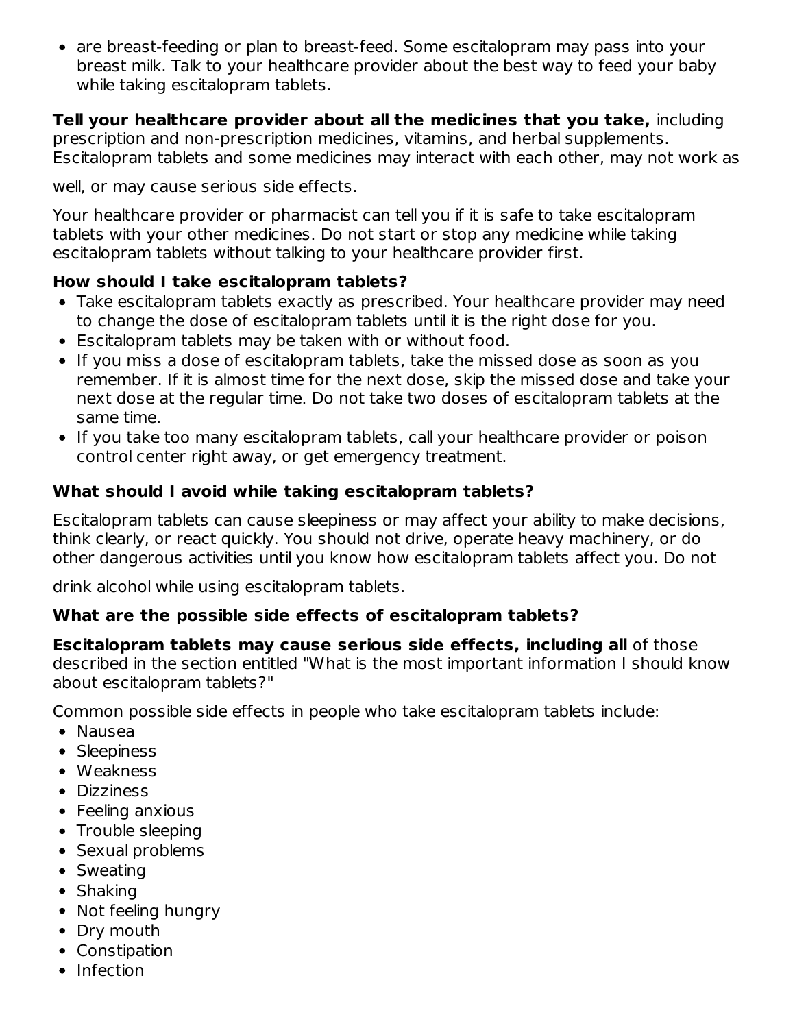are breast-feeding or plan to breast-feed. Some escitalopram may pass into your breast milk. Talk to your healthcare provider about the best way to feed your baby while taking escitalopram tablets.

#### **Tell your healthcare provider about all the medicines that you take,** including prescription and non-prescription medicines, vitamins, and herbal supplements. Escitalopram tablets and some medicines may interact with each other, may not work as

well, or may cause serious side effects.

Your healthcare provider or pharmacist can tell you if it is safe to take escitalopram tablets with your other medicines. Do not start or stop any medicine while taking escitalopram tablets without talking to your healthcare provider first.

#### **How should I take escitalopram tablets?**

- Take escitalopram tablets exactly as prescribed. Your healthcare provider may need to change the dose of escitalopram tablets until it is the right dose for you.
- Escitalopram tablets may be taken with or without food.
- If you miss a dose of escitalopram tablets, take the missed dose as soon as you remember. If it is almost time for the next dose, skip the missed dose and take your next dose at the regular time. Do not take two doses of escitalopram tablets at the same time.
- If you take too many escitalopram tablets, call your healthcare provider or poison control center right away, or get emergency treatment.

#### **What should I avoid while taking escitalopram tablets?**

Escitalopram tablets can cause sleepiness or may affect your ability to make decisions, think clearly, or react quickly. You should not drive, operate heavy machinery, or do other dangerous activities until you know how escitalopram tablets affect you. Do not

drink alcohol while using escitalopram tablets.

#### **What are the possible side effects of escitalopram tablets?**

**Escitalopram tablets may cause serious side effects, including all** of those described in the section entitled "What is the most important information I should know about escitalopram tablets?"

Common possible side effects in people who take escitalopram tablets include:

- Nausea
- Sleepiness
- Weakness
- Dizziness
- Feeling anxious
- Trouble sleeping
- Sexual problems
- Sweating
- Shaking
- Not feeling hungry
- Dry mouth
- Constipation
- Infection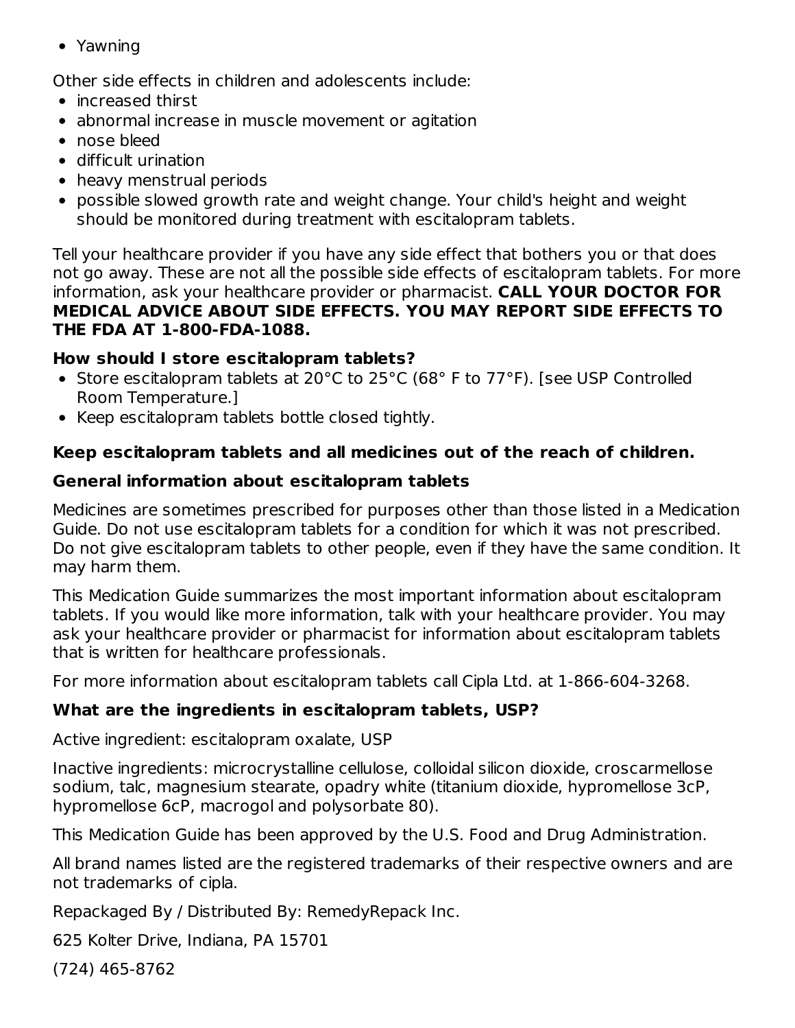Yawning

Other side effects in children and adolescents include:

- increased thirst
- abnormal increase in muscle movement or agitation
- nose bleed
- difficult urination
- heavy menstrual periods
- possible slowed growth rate and weight change. Your child's height and weight should be monitored during treatment with escitalopram tablets.

Tell your healthcare provider if you have any side effect that bothers you or that does not go away. These are not all the possible side effects of escitalopram tablets. For more information, ask your healthcare provider or pharmacist. **CALL YOUR DOCTOR FOR MEDICAL ADVICE ABOUT SIDE EFFECTS. YOU MAY REPORT SIDE EFFECTS TO THE FDA AT 1-800-FDA-1088.**

#### **How should I store escitalopram tablets?**

- Store escitalopram tablets at 20°C to 25°C (68° F to 77°F). [see USP Controlled Room Temperature.]
- Keep escitalopram tablets bottle closed tightly.

### **Keep escitalopram tablets and all medicines out of the reach of children.**

#### **General information about escitalopram tablets**

Medicines are sometimes prescribed for purposes other than those listed in a Medication Guide. Do not use escitalopram tablets for a condition for which it was not prescribed. Do not give escitalopram tablets to other people, even if they have the same condition. It may harm them.

This Medication Guide summarizes the most important information about escitalopram tablets. If you would like more information, talk with your healthcare provider. You may ask your healthcare provider or pharmacist for information about escitalopram tablets that is written for healthcare professionals.

For more information about escitalopram tablets call Cipla Ltd. at 1-866-604-3268.

#### **What are the ingredients in escitalopram tablets, USP?**

Active ingredient: escitalopram oxalate, USP

Inactive ingredients: microcrystalline cellulose, colloidal silicon dioxide, croscarmellose sodium, talc, magnesium stearate, opadry white (titanium dioxide, hypromellose 3cP, hypromellose 6cP, macrogol and polysorbate 80).

This Medication Guide has been approved by the U.S. Food and Drug Administration.

All brand names listed are the registered trademarks of their respective owners and are not trademarks of cipla.

Repackaged By / Distributed By: RemedyRepack Inc.

625 Kolter Drive, Indiana, PA 15701

(724) 465-8762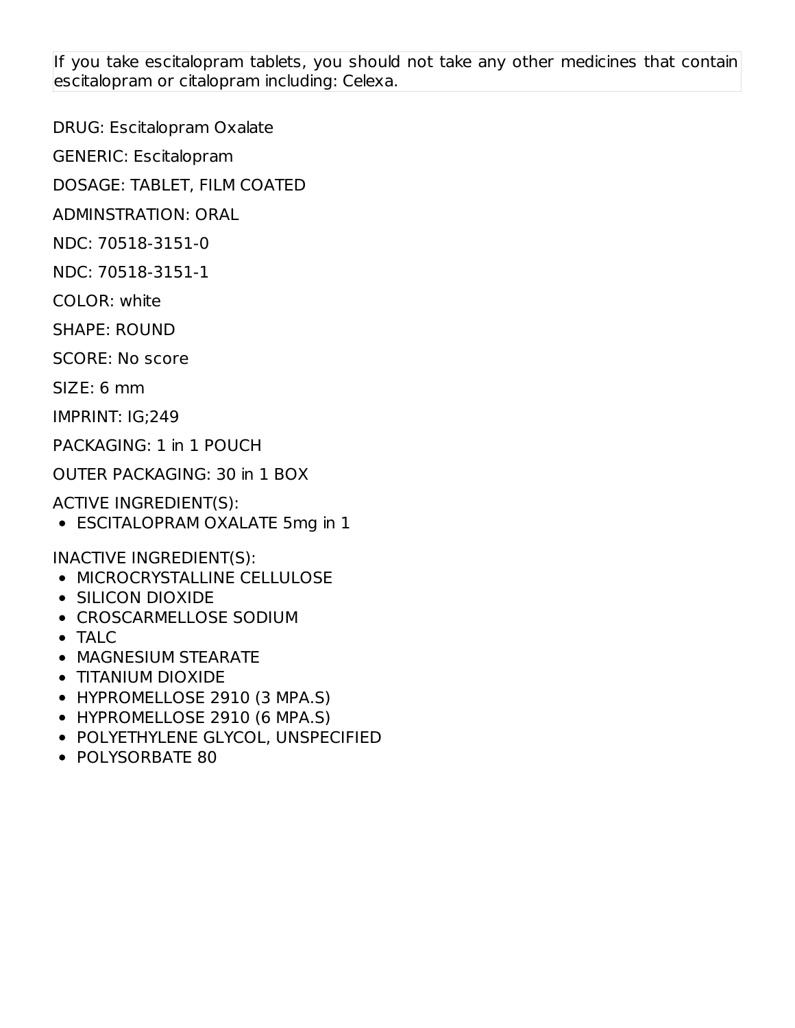If you take escitalopram tablets, you should not take any other medicines that contain escitalopram or citalopram including: Celexa.

DRUG: Escitalopram Oxalate

GENERIC: Escitalopram

DOSAGE: TABLET, FILM COATED

ADMINSTRATION: ORAL

NDC: 70518-3151-0

NDC: 70518-3151-1

COLOR: white

SHAPE: ROUND

SCORE: No score

SIZE: 6 mm

IMPRINT: IG;249

PACKAGING: 1 in 1 POUCH

OUTER PACKAGING: 30 in 1 BOX

ACTIVE INGREDIENT(S):

ESCITALOPRAM OXALATE 5mg in 1

INACTIVE INGREDIENT(S):

- **MICROCRYSTALLINE CELLULOSE**
- SILICON DIOXIDE
- CROSCARMELLOSE SODIUM
- TALC
- **MAGNESIUM STEARATE**
- TITANIUM DIOXIDE
- HYPROMELLOSE 2910 (3 MPA.S)
- HYPROMELLOSE 2910 (6 MPA.S)
- POLYETHYLENE GLYCOL, UNSPECIFIED
- POLYSORBATE 80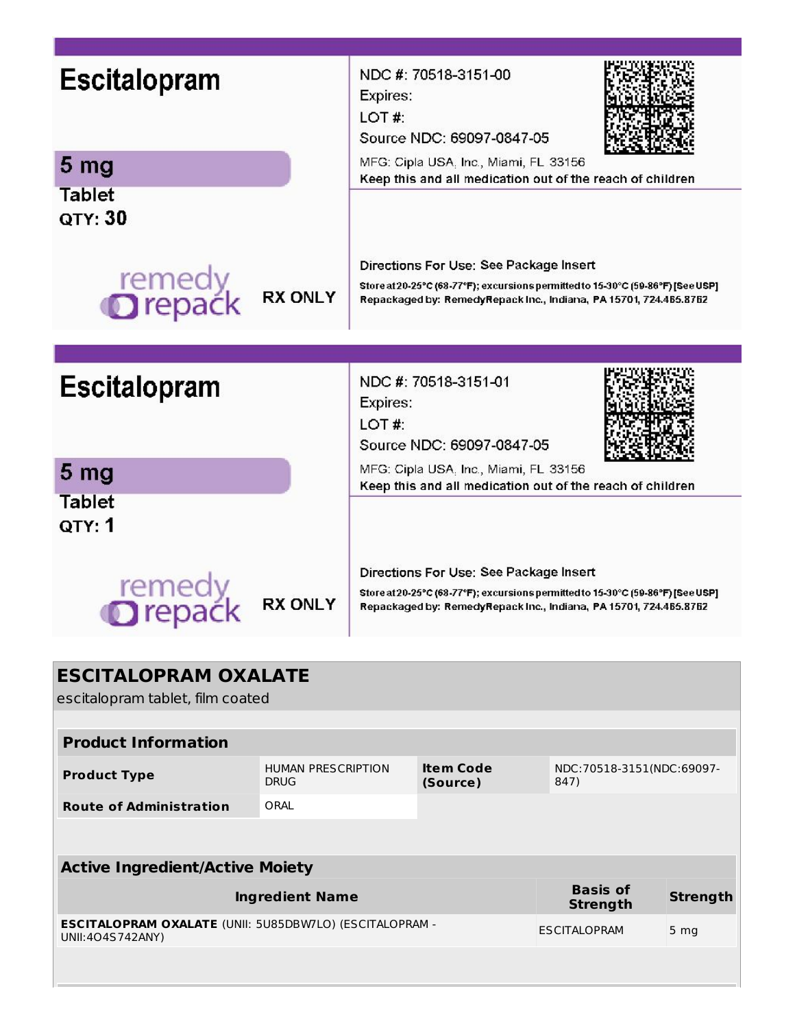| <b>Escitalopram</b><br>5 <sub>mg</sub>      | NDC #: 70518-3151-00<br>Expires:<br>LOT #:<br>Source NDC: 69097-0847-05<br>MFG: Cipla USA, Inc., Miami, FL 33156                                      |
|---------------------------------------------|-------------------------------------------------------------------------------------------------------------------------------------------------------|
|                                             | Keep this and all medication out of the reach of children                                                                                             |
| <b>Tablet</b><br>OTY: 30                    |                                                                                                                                                       |
|                                             | Directions For Use: See Package Insert                                                                                                                |
| remedy<br><b>O</b> repack<br><b>RX ONLY</b> | Store at 20-25°C (68-77°F); excursions permitted to 15-30°C (59-86°F) [See USP].<br>Repackaged by: RemedyRepack Inc., Indiana, PA 15701, 724.465.8762 |
|                                             |                                                                                                                                                       |
|                                             |                                                                                                                                                       |
|                                             |                                                                                                                                                       |
| Escitalopram                                | NDC #: 70518-3151-01<br>Expires:<br>LOT#:<br>Source NDC: 69097-0847-05                                                                                |
|                                             | MFG: Cipla USA, Inc., Miami, FL 33156                                                                                                                 |
| 5 <sub>mg</sub>                             | Keep this and all medication out of the reach of children                                                                                             |
| <b>Tablet</b><br>QTY: 1                     |                                                                                                                                                       |
|                                             |                                                                                                                                                       |
|                                             | Directions For Use: See Package Insert                                                                                                                |
| remedy<br><b>Orepack</b><br><b>RX ONLY</b>  | Store at 20-25°C (68-77°F); excursions permitted to 15-30°C (59-86°F) [See USP]<br>Repackaged by: RemedyRepack Inc., Indiana, PA 15701, 724.465.8762  |
|                                             |                                                                                                                                                       |

| <b>ESCITALOPRAM OXALATE</b><br>escitalopram tablet, film coated                      |                                          |                              |                                    |                 |
|--------------------------------------------------------------------------------------|------------------------------------------|------------------------------|------------------------------------|-----------------|
|                                                                                      |                                          |                              |                                    |                 |
| <b>Product Information</b>                                                           |                                          |                              |                                    |                 |
| <b>Product Type</b>                                                                  | <b>HUMAN PRESCRIPTION</b><br><b>DRUG</b> | <b>Item Code</b><br>(Source) | NDC:70518-3151(NDC:69097-<br>847)  |                 |
| <b>Route of Administration</b>                                                       | ORAL                                     |                              |                                    |                 |
|                                                                                      |                                          |                              |                                    |                 |
| <b>Active Ingredient/Active Moiety</b>                                               |                                          |                              |                                    |                 |
|                                                                                      | <b>Ingredient Name</b>                   |                              | <b>Basis of</b><br><b>Strength</b> | <b>Strength</b> |
| <b>ESCITALOPRAM OXALATE (UNII: 5U85DBW7LO) (ESCITALOPRAM -</b><br>UNII: 404S 742ANY) |                                          |                              | <b>ESCITALOPRAM</b>                | 5 <sub>mg</sub> |
|                                                                                      |                                          |                              |                                    |                 |